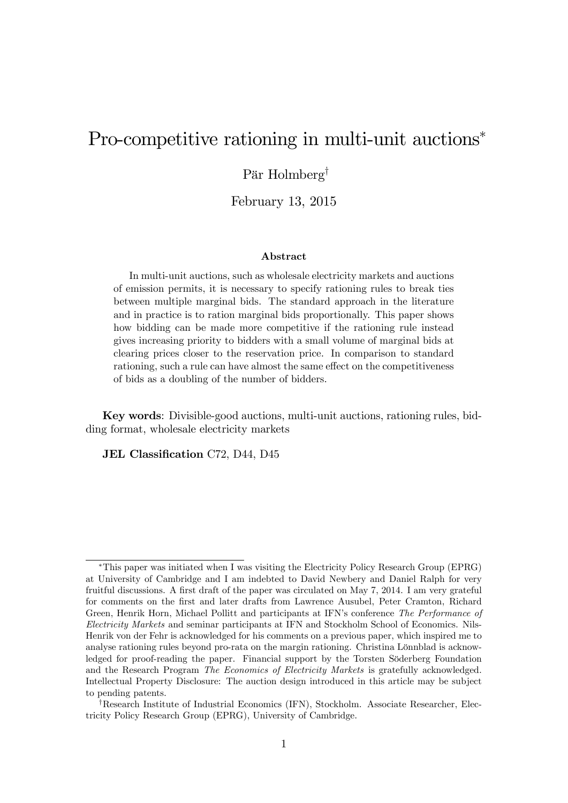# Pro-competitive rationing in multi-unit auctions<sup>\*</sup>

### Pär Holmberg<sup>†</sup>

February 13, 2015

#### Abstract

In multi-unit auctions, such as wholesale electricity markets and auctions of emission permits, it is necessary to specify rationing rules to break ties between multiple marginal bids. The standard approach in the literature and in practice is to ration marginal bids proportionally. This paper shows how bidding can be made more competitive if the rationing rule instead gives increasing priority to bidders with a small volume of marginal bids at clearing prices closer to the reservation price. In comparison to standard rationing, such a rule can have almost the same effect on the competitiveness of bids as a doubling of the number of bidders.

Key words: Divisible-good auctions, multi-unit auctions, rationing rules, bidding format, wholesale electricity markets

JEL Classification C72, D44, D45

This paper was initiated when I was visiting the Electricity Policy Research Group (EPRG) at University of Cambridge and I am indebted to David Newbery and Daniel Ralph for very fruitful discussions. A first draft of the paper was circulated on May 7, 2014. I am very grateful for comments on the Örst and later drafts from Lawrence Ausubel, Peter Cramton, Richard Green, Henrik Horn, Michael Pollitt and participants at IFN's conference The Performance of Electricity Markets and seminar participants at IFN and Stockholm School of Economics. Nils-Henrik von der Fehr is acknowledged for his comments on a previous paper, which inspired me to analyse rationing rules beyond pro-rata on the margin rationing. Christina Lönnblad is acknowledged for proof-reading the paper. Financial support by the Torsten Söderberg Foundation and the Research Program The Economics of Electricity Markets is gratefully acknowledged. Intellectual Property Disclosure: The auction design introduced in this article may be subject to pending patents.

<sup>&</sup>lt;sup>†</sup>Research Institute of Industrial Economics (IFN), Stockholm. Associate Researcher, Electricity Policy Research Group (EPRG), University of Cambridge.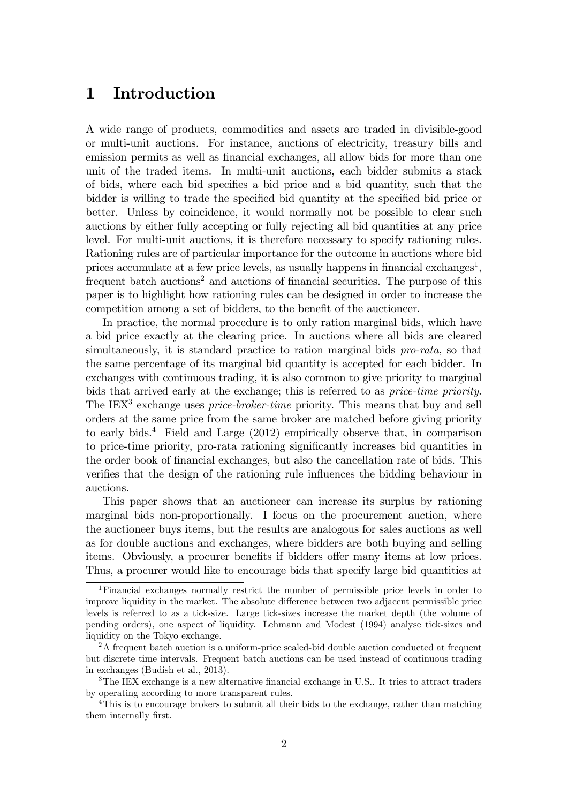# 1 Introduction

A wide range of products, commodities and assets are traded in divisible-good or multi-unit auctions. For instance, auctions of electricity, treasury bills and emission permits as well as financial exchanges, all allow bids for more than one unit of the traded items. In multi-unit auctions, each bidder submits a stack of bids, where each bid specifies a bid price and a bid quantity, such that the bidder is willing to trade the specified bid quantity at the specified bid price or better. Unless by coincidence, it would normally not be possible to clear such auctions by either fully accepting or fully rejecting all bid quantities at any price level. For multi-unit auctions, it is therefore necessary to specify rationing rules. Rationing rules are of particular importance for the outcome in auctions where bid prices accumulate at a few price levels, as usually happens in financial exchanges<sup>1</sup>, frequent batch auctions<sup>2</sup> and auctions of financial securities. The purpose of this paper is to highlight how rationing rules can be designed in order to increase the competition among a set of bidders, to the benefit of the auctioneer.

In practice, the normal procedure is to only ration marginal bids, which have a bid price exactly at the clearing price. In auctions where all bids are cleared simultaneously, it is standard practice to ration marginal bids pro-rata, so that the same percentage of its marginal bid quantity is accepted for each bidder. In exchanges with continuous trading, it is also common to give priority to marginal bids that arrived early at the exchange; this is referred to as price-time priority. The IEX<sup>3</sup> exchange uses *price-broker-time* priority. This means that buy and sell orders at the same price from the same broker are matched before giving priority to early bids.<sup>4</sup> Field and Large  $(2012)$  empirically observe that, in comparison to price-time priority, pro-rata rationing significantly increases bid quantities in the order book of financial exchanges, but also the cancellation rate of bids. This verifies that the design of the rationing rule influences the bidding behaviour in auctions.

This paper shows that an auctioneer can increase its surplus by rationing marginal bids non-proportionally. I focus on the procurement auction, where the auctioneer buys items, but the results are analogous for sales auctions as well as for double auctions and exchanges, where bidders are both buying and selling items. Obviously, a procurer benefits if bidders offer many items at low prices. Thus, a procurer would like to encourage bids that specify large bid quantities at

<sup>1</sup>Financial exchanges normally restrict the number of permissible price levels in order to improve liquidity in the market. The absolute difference between two adjacent permissible price levels is referred to as a tick-size. Large tick-sizes increase the market depth (the volume of pending orders), one aspect of liquidity. Lehmann and Modest (1994) analyse tick-sizes and liquidity on the Tokyo exchange.

<sup>2</sup>A frequent batch auction is a uniform-price sealed-bid double auction conducted at frequent but discrete time intervals. Frequent batch auctions can be used instead of continuous trading in exchanges (Budish et al., 2013).

<sup>&</sup>lt;sup>3</sup>The IEX exchange is a new alternative financial exchange in U.S.. It tries to attract traders by operating according to more transparent rules.

<sup>4</sup>This is to encourage brokers to submit all their bids to the exchange, rather than matching them internally first.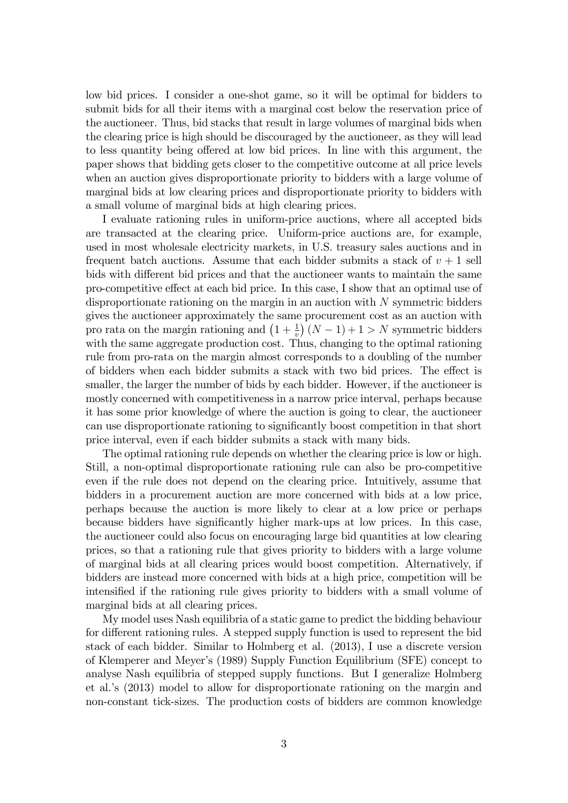low bid prices. I consider a one-shot game, so it will be optimal for bidders to submit bids for all their items with a marginal cost below the reservation price of the auctioneer. Thus, bid stacks that result in large volumes of marginal bids when the clearing price is high should be discouraged by the auctioneer, as they will lead to less quantity being offered at low bid prices. In line with this argument, the paper shows that bidding gets closer to the competitive outcome at all price levels when an auction gives disproportionate priority to bidders with a large volume of marginal bids at low clearing prices and disproportionate priority to bidders with a small volume of marginal bids at high clearing prices.

I evaluate rationing rules in uniform-price auctions, where all accepted bids are transacted at the clearing price. Uniform-price auctions are, for example, used in most wholesale electricity markets, in U.S. treasury sales auctions and in frequent batch auctions. Assume that each bidder submits a stack of  $v + 1$  sell bids with different bid prices and that the auctioneer wants to maintain the same pro-competitive effect at each bid price. In this case, I show that an optimal use of disproportionate rationing on the margin in an auction with N symmetric bidders gives the auctioneer approximately the same procurement cost as an auction with pro rata on the margin rationing and  $(1+\frac{1}{v})(N-1)+1>N$  symmetric bidders with the same aggregate production cost. Thus, changing to the optimal rationing rule from pro-rata on the margin almost corresponds to a doubling of the number of bidders when each bidder submits a stack with two bid prices. The effect is smaller, the larger the number of bids by each bidder. However, if the auctioneer is mostly concerned with competitiveness in a narrow price interval, perhaps because it has some prior knowledge of where the auction is going to clear, the auctioneer can use disproportionate rationing to significantly boost competition in that short price interval, even if each bidder submits a stack with many bids.

The optimal rationing rule depends on whether the clearing price is low or high. Still, a non-optimal disproportionate rationing rule can also be pro-competitive even if the rule does not depend on the clearing price. Intuitively, assume that bidders in a procurement auction are more concerned with bids at a low price, perhaps because the auction is more likely to clear at a low price or perhaps because bidders have significantly higher mark-ups at low prices. In this case, the auctioneer could also focus on encouraging large bid quantities at low clearing prices, so that a rationing rule that gives priority to bidders with a large volume of marginal bids at all clearing prices would boost competition. Alternatively, if bidders are instead more concerned with bids at a high price, competition will be intensified if the rationing rule gives priority to bidders with a small volume of marginal bids at all clearing prices.

My model uses Nash equilibria of a static game to predict the bidding behaviour for different rationing rules. A stepped supply function is used to represent the bid stack of each bidder. Similar to Holmberg et al. (2013), I use a discrete version of Klemperer and Meyerís (1989) Supply Function Equilibrium (SFE) concept to analyse Nash equilibria of stepped supply functions. But I generalize Holmberg et al.ís (2013) model to allow for disproportionate rationing on the margin and non-constant tick-sizes. The production costs of bidders are common knowledge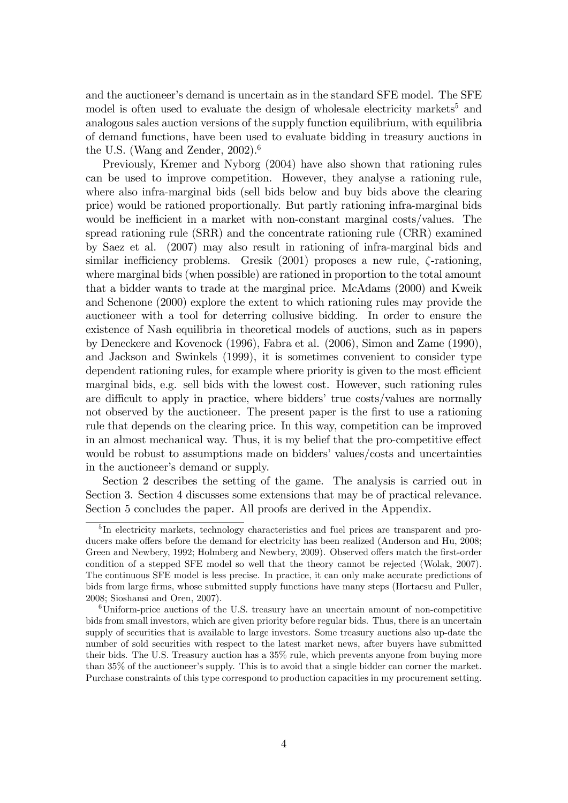and the auctioneer's demand is uncertain as in the standard SFE model. The SFE model is often used to evaluate the design of wholesale electricity markets<sup>5</sup> and analogous sales auction versions of the supply function equilibrium, with equilibria of demand functions, have been used to evaluate bidding in treasury auctions in the U.S. (Wang and Zender,  $2002$ ).<sup>6</sup>

Previously, Kremer and Nyborg (2004) have also shown that rationing rules can be used to improve competition. However, they analyse a rationing rule, where also infra-marginal bids (sell bids below and buy bids above the clearing price) would be rationed proportionally. But partly rationing infra-marginal bids would be inefficient in a market with non-constant marginal costs/values. The spread rationing rule (SRR) and the concentrate rationing rule (CRR) examined by Saez et al. (2007) may also result in rationing of infra-marginal bids and similar inefficiency problems. Gresik  $(2001)$  proposes a new rule,  $\zeta$ -rationing, where marginal bids (when possible) are rationed in proportion to the total amount that a bidder wants to trade at the marginal price. McAdams (2000) and Kweik and Schenone (2000) explore the extent to which rationing rules may provide the auctioneer with a tool for deterring collusive bidding. In order to ensure the existence of Nash equilibria in theoretical models of auctions, such as in papers by Deneckere and Kovenock (1996), Fabra et al. (2006), Simon and Zame (1990), and Jackson and Swinkels (1999), it is sometimes convenient to consider type dependent rationing rules, for example where priority is given to the most efficient marginal bids, e.g. sell bids with the lowest cost. However, such rationing rules are difficult to apply in practice, where bidders' true costs/values are normally not observed by the auctioneer. The present paper is the first to use a rationing rule that depends on the clearing price. In this way, competition can be improved in an almost mechanical way. Thus, it is my belief that the pro-competitive effect would be robust to assumptions made on bidders' values/costs and uncertainties in the auctioneer's demand or supply.

Section 2 describes the setting of the game. The analysis is carried out in Section 3. Section 4 discusses some extensions that may be of practical relevance. Section 5 concludes the paper. All proofs are derived in the Appendix.

<sup>&</sup>lt;sup>5</sup>In electricity markets, technology characteristics and fuel prices are transparent and producers make offers before the demand for electricity has been realized (Anderson and Hu, 2008; Green and Newbery, 1992; Holmberg and Newbery, 2009). Observed offers match the first-order condition of a stepped SFE model so well that the theory cannot be rejected (Wolak, 2007). The continuous SFE model is less precise. In practice, it can only make accurate predictions of bids from large firms, whose submitted supply functions have many steps (Hortacsu and Puller, 2008; Sioshansi and Oren, 2007).

 $6$ Uniform-price auctions of the U.S. treasury have an uncertain amount of non-competitive bids from small investors, which are given priority before regular bids. Thus, there is an uncertain supply of securities that is available to large investors. Some treasury auctions also up-date the number of sold securities with respect to the latest market news, after buyers have submitted their bids. The U.S. Treasury auction has a 35% rule, which prevents anyone from buying more than 35% of the auctioneer's supply. This is to avoid that a single bidder can corner the market. Purchase constraints of this type correspond to production capacities in my procurement setting.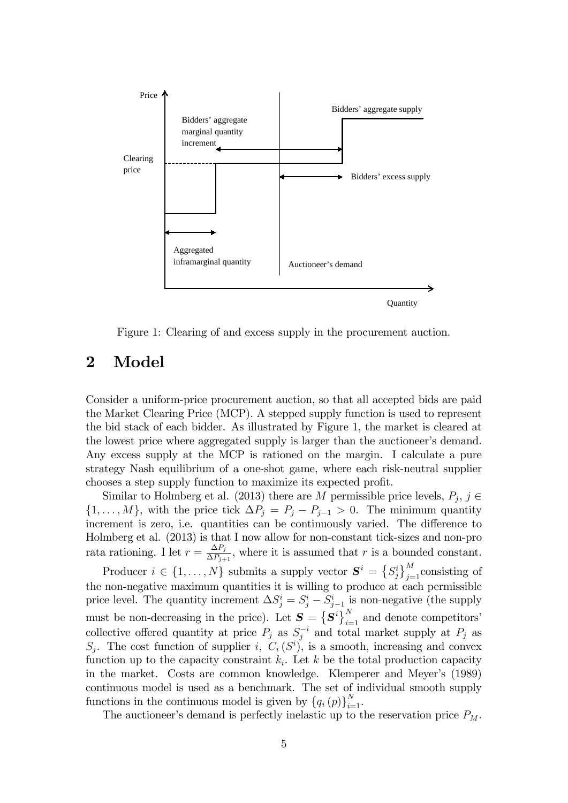

Figure 1: Clearing of and excess supply in the procurement auction.

## 2 Model

Consider a uniform-price procurement auction, so that all accepted bids are paid the Market Clearing Price (MCP). A stepped supply function is used to represent the bid stack of each bidder. As illustrated by Figure 1, the market is cleared at the lowest price where aggregated supply is larger than the auctioneer's demand. Any excess supply at the MCP is rationed on the margin. I calculate a pure strategy Nash equilibrium of a one-shot game, where each risk-neutral supplier chooses a step supply function to maximize its expected profit.

Similar to Holmberg et al. (2013) there are M permissible price levels,  $P_j$ ,  $j \in$  $\{1, \ldots, M\}$ , with the price tick  $\Delta P_j = P_j - P_{j-1} > 0$ . The minimum quantity increment is zero, i.e. quantities can be continuously varied. The difference to Holmberg et al. (2013) is that I now allow for non-constant tick-sizes and non-pro rata rationing. I let  $r = \frac{\Delta P_j}{\Delta P_j}$  $\frac{\Delta F_j}{\Delta P_{j+1}}$ , where it is assumed that r is a bounded constant. Producer  $i \in \{1, ..., N\}$  submits a supply vector  $S^i = \left\{S^i_j\right\}_{j=1}^M$ consisting of the non-negative maximum quantities it is willing to produce at each permissible price level. The quantity increment  $\Delta S_j^i = S_j^i - S_{j-1}^i$  is non-negative (the supply must be non-decreasing in the price). Let  $\mathbf{S} = \left\{ \mathbf{S}^i \right\}_{i=1}^N$  and denote competitors' collective offered quantity at price  $P_j$  as  $S_j^{-i}$  and total market supply at  $P_j$  as  $S_j$ . The cost function of supplier i,  $C_i(S^i)$ , is a smooth, increasing and convex function up to the capacity constraint  $k_i$ . Let k be the total production capacity in the market. Costs are common knowledge. Klemperer and Meyer's (1989) continuous model is used as a benchmark. The set of individual smooth supply functions in the continuous model is given by  $\{q_i(p)\}_{i=1}^N$ .

The auctioneer's demand is perfectly inelastic up to the reservation price  $P_M$ .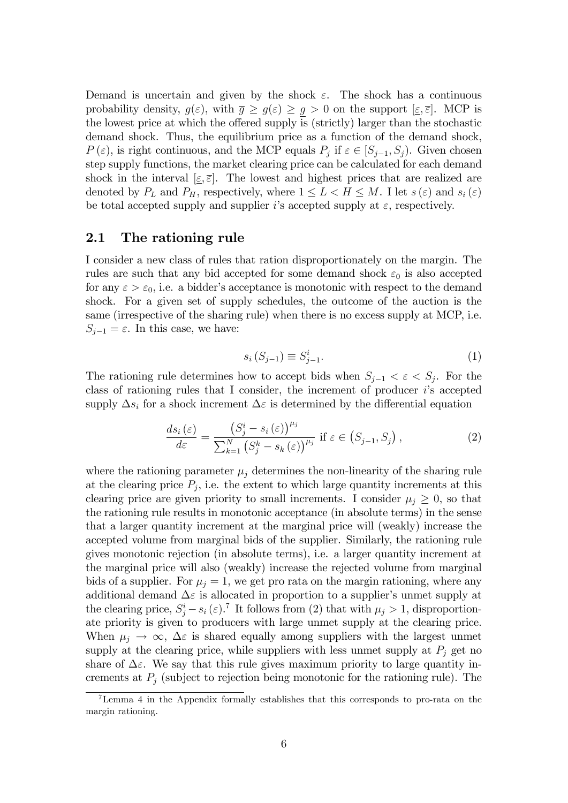Demand is uncertain and given by the shock  $\varepsilon$ . The shock has a continuous probability density,  $g(\varepsilon)$ , with  $\overline{g} \ge g(\varepsilon) \ge g > 0$  on the support  $[\varepsilon, \overline{\varepsilon}]$ . MCP is the lowest price at which the offered supply is (strictly) larger than the stochastic demand shock. Thus, the equilibrium price as a function of the demand shock,  $P(\varepsilon)$ , is right continuous, and the MCP equals  $P_j$  if  $\varepsilon \in [S_{j-1}, S_j)$ . Given chosen step supply functions, the market clearing price can be calculated for each demand shock in the interval  $[\varepsilon, \overline{\varepsilon}]$ . The lowest and highest prices that are realized are denoted by  $P_L$  and  $P_H$ , respectively, where  $1 \leq L < H \leq M$ . I let  $s(\varepsilon)$  and  $s_i(\varepsilon)$ be total accepted supply and supplier is accepted supply at  $\varepsilon$ , respectively.

#### 2.1 The rationing rule

I consider a new class of rules that ration disproportionately on the margin. The rules are such that any bid accepted for some demand shock  $\varepsilon_0$  is also accepted for any  $\varepsilon > \varepsilon_0$ , i.e. a bidder's acceptance is monotonic with respect to the demand shock. For a given set of supply schedules, the outcome of the auction is the same (irrespective of the sharing rule) when there is no excess supply at MCP, i.e.  $S_{i-1} = \varepsilon$ . In this case, we have:

$$
s_i\left(S_{j-1}\right) \equiv S_{j-1}^i. \tag{1}
$$

The rationing rule determines how to accept bids when  $S_{j-1} < \varepsilon < S_j$ . For the class of rationing rules that I consider, the increment of producer  $i$ 's accepted supply  $\Delta s_i$  for a shock increment  $\Delta \varepsilon$  is determined by the differential equation

$$
\frac{ds_i(\varepsilon)}{d\varepsilon} = \frac{\left(S_j^i - s_i(\varepsilon)\right)^{\mu_j}}{\sum_{k=1}^N \left(S_j^k - s_k(\varepsilon)\right)^{\mu_j}} \text{ if } \varepsilon \in \left(S_{j-1}, S_j\right),\tag{2}
$$

where the rationing parameter  $\mu_i$  determines the non-linearity of the sharing rule at the clearing price  $P_j$ , i.e. the extent to which large quantity increments at this clearing price are given priority to small increments. I consider  $\mu_i \geq 0$ , so that the rationing rule results in monotonic acceptance (in absolute terms) in the sense that a larger quantity increment at the marginal price will (weakly) increase the accepted volume from marginal bids of the supplier. Similarly, the rationing rule gives monotonic rejection (in absolute terms), i.e. a larger quantity increment at the marginal price will also (weakly) increase the rejected volume from marginal bids of a supplier. For  $\mu_i = 1$ , we get pro rata on the margin rationing, where any additional demand  $\Delta \varepsilon$  is allocated in proportion to a supplier's unmet supply at the clearing price,  $S_j^i - s_i \in \mathbb{R}^7$  It follows from (2) that with  $\mu_j > 1$ , disproportionate priority is given to producers with large unmet supply at the clearing price. When  $\mu_j \to \infty$ ,  $\Delta \varepsilon$  is shared equally among suppliers with the largest unmet supply at the clearing price, while suppliers with less unmet supply at  $P_i$  get no share of  $\Delta \varepsilon$ . We say that this rule gives maximum priority to large quantity increments at  $P_j$  (subject to rejection being monotonic for the rationing rule). The

<sup>7</sup>Lemma 4 in the Appendix formally establishes that this corresponds to pro-rata on the margin rationing.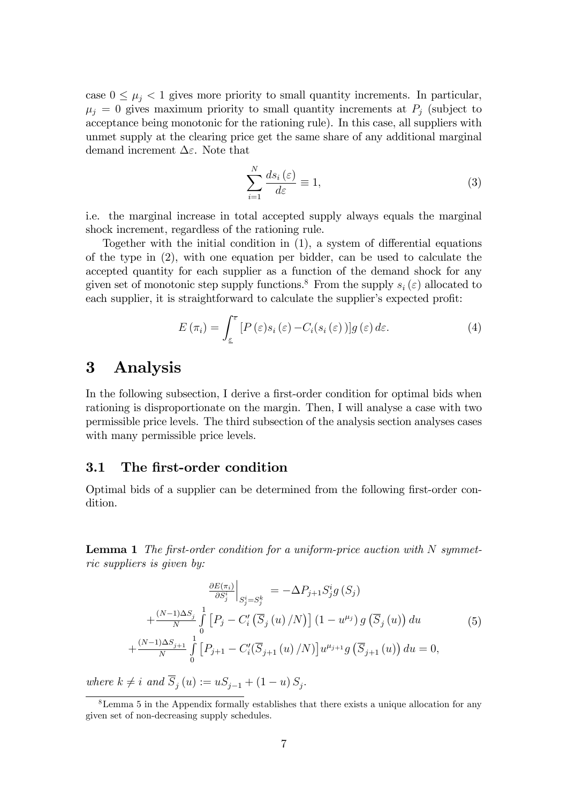case  $0 \leq \mu_j < 1$  gives more priority to small quantity increments. In particular,  $\mu_j = 0$  gives maximum priority to small quantity increments at  $P_j$  (subject to acceptance being monotonic for the rationing rule). In this case, all suppliers with unmet supply at the clearing price get the same share of any additional marginal demand increment  $\Delta \varepsilon$ . Note that

$$
\sum_{i=1}^{N} \frac{ds_i(\varepsilon)}{d\varepsilon} \equiv 1,\tag{3}
$$

i.e. the marginal increase in total accepted supply always equals the marginal shock increment, regardless of the rationing rule.

Together with the initial condition in  $(1)$ , a system of differential equations of the type in (2), with one equation per bidder, can be used to calculate the accepted quantity for each supplier as a function of the demand shock for any given set of monotonic step supply functions.<sup>8</sup> From the supply  $s_i(\varepsilon)$  allocated to each supplier, it is straightforward to calculate the supplier's expected profit:

$$
E(\pi_i) = \int_{\underline{\varepsilon}}^{\overline{\varepsilon}} [P(\varepsilon)s_i(\varepsilon) - C_i(s_i(\varepsilon))] g(\varepsilon) d\varepsilon.
$$
 (4)

### 3 Analysis

In the following subsection, I derive a first-order condition for optimal bids when rationing is disproportionate on the margin. Then, I will analyse a case with two permissible price levels. The third subsection of the analysis section analyses cases with many permissible price levels.

#### 3.1 The first-order condition

Optimal bids of a supplier can be determined from the following first-order condition.

**Lemma 1** The first-order condition for a uniform-price auction with  $N$  symmetric suppliers is given by:

$$
\frac{\partial E(\pi_i)}{\partial S_j^i} \Big|_{S_j^i = S_j^k} = -\Delta P_{j+1} S_j^i g(S_j)
$$
  
+ 
$$
\frac{(N-1)\Delta S_j}{N} \int_0^1 \left[ P_j - C_i' \left( \overline{S}_j (u) / N \right) \right] (1 - u^{\mu_j}) g(\overline{S}_j (u)) du
$$
  
+ 
$$
\frac{(N-1)\Delta S_{j+1}}{N} \int_0^1 \left[ P_{j+1} - C_i' (\overline{S}_{j+1} (u) / N) \right] u^{\mu_{j+1}} g(\overline{S}_{j+1} (u)) du = 0,
$$
  
(5)

where  $k \neq i$  and  $S_j(u) := uS_{j-1} + (1 - u)S_j$ .

<sup>8</sup>Lemma 5 in the Appendix formally establishes that there exists a unique allocation for any given set of non-decreasing supply schedules.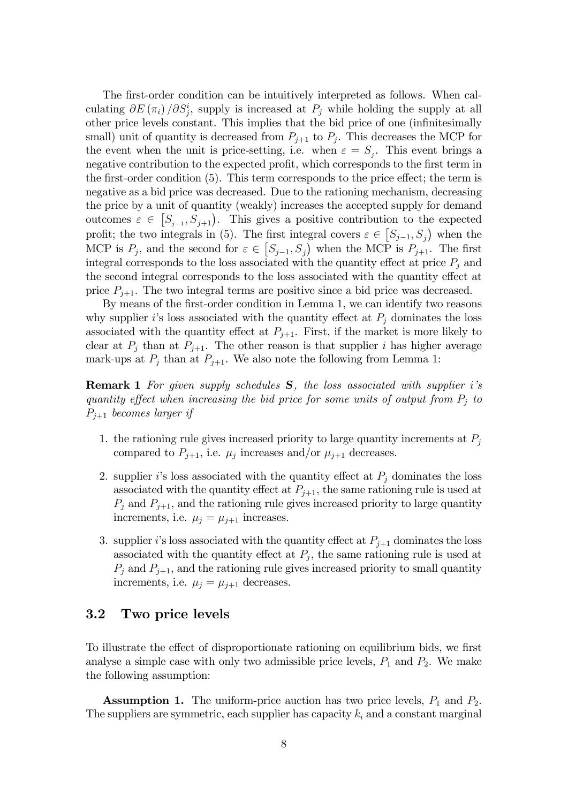The first-order condition can be intuitively interpreted as follows. When calculating  $\partial E(\pi_i)/\partial S_j^i$ , supply is increased at  $P_j$  while holding the supply at all other price levels constant. This implies that the bid price of one (infinitesimally small) unit of quantity is decreased from  $P_{j+1}$  to  $P_j$ . This decreases the MCP for the event when the unit is price-setting, i.e. when  $\varepsilon = S_j$ . This event brings a negative contribution to the expected profit, which corresponds to the first term in the first-order condition  $(5)$ . This term corresponds to the price effect; the term is negative as a bid price was decreased. Due to the rationing mechanism, decreasing the price by a unit of quantity (weakly) increases the accepted supply for demand outcomes  $\varepsilon \in [S_{j-1}, S_{j+1})$ . This gives a positive contribution to the expected profit; the two integrals in (5). The first integral covers  $\varepsilon \in [S_{j-1}, S_j)$  when the MCP is  $P_j$ , and the second for  $\varepsilon \in [S_{j-1}, S_j)$  when the MCP is  $P_{j+1}$ . The first integral corresponds to the loss associated with the quantity effect at price  $P_i$  and the second integral corresponds to the loss associated with the quantity effect at price  $P_{i+1}$ . The two integral terms are positive since a bid price was decreased.

By means of the first-order condition in Lemma 1, we can identify two reasons why supplier is loss associated with the quantity effect at  $P_i$  dominates the loss associated with the quantity effect at  $P_{j+1}$ . First, if the market is more likely to clear at  $P_j$  than at  $P_{j+1}$ . The other reason is that supplier i has higher average mark-ups at  $P_j$  than at  $P_{j+1}$ . We also note the following from Lemma 1:

**Remark 1** For given supply schedules **S**, the loss associated with supplier i's quantity effect when increasing the bid price for some units of output from  $P_j$  to  $P_{i+1}$  becomes larger if

- 1. the rationing rule gives increased priority to large quantity increments at  $P_i$ compared to  $P_{j+1}$ , i.e.  $\mu_j$  increases and/or  $\mu_{j+1}$  decreases.
- 2. supplier is loss associated with the quantity effect at  $P_j$  dominates the loss associated with the quantity effect at  $P_{j+1}$ , the same rationing rule is used at  $P_j$  and  $P_{j+1}$ , and the rationing rule gives increased priority to large quantity increments, i.e.  $\mu_i = \mu_{i+1}$  increases.
- 3. supplier i's loss associated with the quantity effect at  $P_{j+1}$  dominates the loss associated with the quantity effect at  $P_j$ , the same rationing rule is used at  $P_i$  and  $P_{i+1}$ , and the rationing rule gives increased priority to small quantity increments, i.e.  $\mu_j = \mu_{j+1}$  decreases.

#### 3.2 Two price levels

To illustrate the effect of disproportionate rationing on equilibrium bids, we first analyse a simple case with only two admissible price levels,  $P_1$  and  $P_2$ . We make the following assumption:

**Assumption 1.** The uniform-price auction has two price levels,  $P_1$  and  $P_2$ . The suppliers are symmetric, each supplier has capacity  $k_i$  and a constant marginal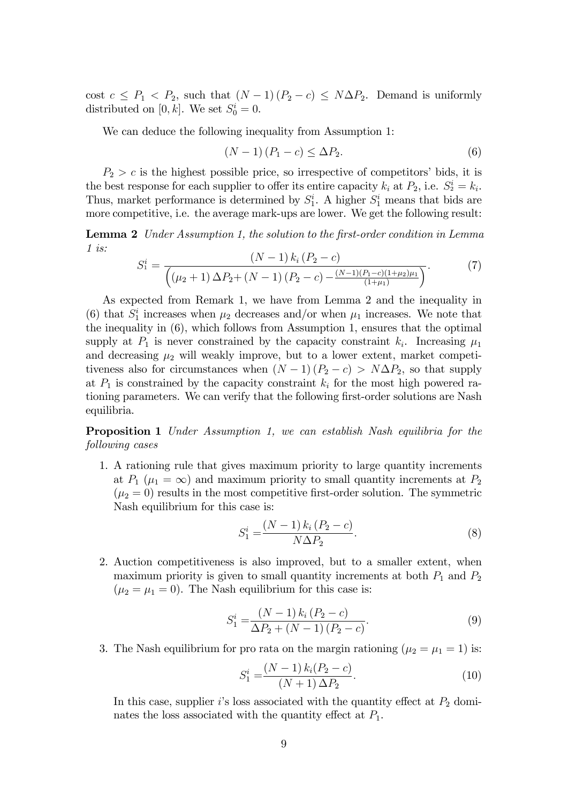cost  $c \leq P_1 < P_2$ , such that  $(N-1)(P_2 - c) \leq N\Delta P_2$ . Demand is uniformly distributed on  $[0, k]$ . We set  $S_0^i = 0$ .

We can deduce the following inequality from Assumption 1:

$$
(N-1)(P_1 - c) \le \Delta P_2. \tag{6}
$$

 $P_2 > c$  is the highest possible price, so irrespective of competitors' bids, it is the best response for each supplier to offer its entire capacity  $k_i$  at  $P_2$ , i.e.  $S_2^i = k_i$ . Thus, market performance is determined by  $S_1^i$ . A higher  $S_1^i$  means that bids are more competitive, i.e. the average mark-ups are lower. We get the following result:

**Lemma 2** Under Assumption 1, the solution to the first-order condition in Lemma 1 is:  $(Y - 1) I (P)$ 

$$
S_1^i = \frac{(N-1) k_i (P_2 - c)}{\left( (\mu_2 + 1) \Delta P_2 + (N-1) (P_2 - c) - \frac{(N-1)(P_1 - c)(1 + \mu_2)\mu_1}{(1 + \mu_1)} \right)}.
$$
(7)

As expected from Remark 1, we have from Lemma 2 and the inequality in (6) that  $S_1^i$  increases when  $\mu_2$  decreases and/or when  $\mu_1$  increases. We note that the inequality in (6), which follows from Assumption 1, ensures that the optimal supply at  $P_1$  is never constrained by the capacity constraint  $k_i$ . Increasing  $\mu_1$ and decreasing  $\mu_2$  will weakly improve, but to a lower extent, market competitiveness also for circumstances when  $(N-1)(P_2 - c) > N\Delta P_2$ , so that supply at  $P_1$  is constrained by the capacity constraint  $k_i$  for the most high powered rationing parameters. We can verify that the following first-order solutions are Nash equilibria.

**Proposition 1** Under Assumption 1, we can establish Nash equilibria for the following cases

1. A rationing rule that gives maximum priority to large quantity increments at  $P_1$  ( $\mu_1 = \infty$ ) and maximum priority to small quantity increments at  $P_2$  $(\mu_2 = 0)$  results in the most competitive first-order solution. The symmetric Nash equilibrium for this case is:

$$
S_1^i = \frac{(N-1) k_i (P_2 - c)}{N \Delta P_2}.
$$
\n(8)

2. Auction competitiveness is also improved, but to a smaller extent, when maximum priority is given to small quantity increments at both  $P_1$  and  $P_2$  $(\mu_2 = \mu_1 = 0)$ . The Nash equilibrium for this case is:

$$
S_1^i = \frac{(N-1) k_i (P_2 - c)}{\Delta P_2 + (N-1) (P_2 - c)}.
$$
\n(9)

3. The Nash equilibrium for pro rata on the margin rationing ( $\mu_2 = \mu_1 = 1$ ) is:

$$
S_1^i = \frac{(N-1) k_i (P_2 - c)}{(N+1) \Delta P_2}.
$$
\n(10)

In this case, supplier i's loss associated with the quantity effect at  $P_2$  dominates the loss associated with the quantity effect at  $P_1$ .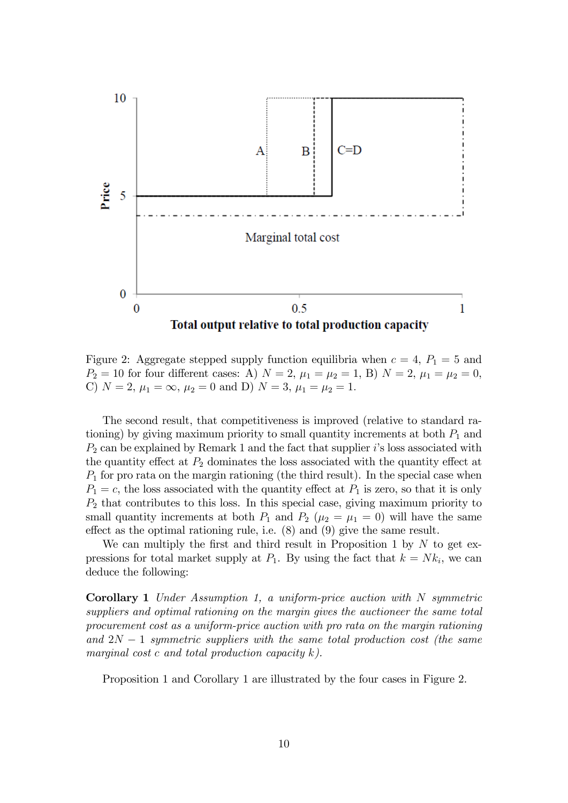

Figure 2: Aggregate stepped supply function equilibria when  $c = 4$ ,  $P_1 = 5$  and  $P_2 = 10$  for four different cases: A)  $N = 2$ ,  $\mu_1 = \mu_2 = 1$ , B)  $N = 2$ ,  $\mu_1 = \mu_2 = 0$ , C)  $N = 2, \mu_1 = \infty, \mu_2 = 0 \text{ and D}$   $N = 3, \mu_1 = \mu_2 = 1.$ 

The second result, that competitiveness is improved (relative to standard rationing) by giving maximum priority to small quantity increments at both  $P_1$  and  $P_2$  can be explained by Remark 1 and the fact that supplier is loss associated with the quantity effect at  $P_2$  dominates the loss associated with the quantity effect at  $P_1$  for pro rata on the margin rationing (the third result). In the special case when  $P_1 = c$ , the loss associated with the quantity effect at  $P_1$  is zero, so that it is only  $P_2$  that contributes to this loss. In this special case, giving maximum priority to small quantity increments at both  $P_1$  and  $P_2$  ( $\mu_2 = \mu_1 = 0$ ) will have the same effect as the optimal rationing rule, i.e.  $(8)$  and  $(9)$  give the same result.

We can multiply the first and third result in Proposition 1 by  $N$  to get expressions for total market supply at  $P_1$ . By using the fact that  $k = N k_i$ , we can deduce the following:

Corollary 1 Under Assumption 1, a uniform-price auction with N symmetric suppliers and optimal rationing on the margin gives the auctioneer the same total procurement cost as a uniform-price auction with pro rata on the margin rationing and  $2N-1$  symmetric suppliers with the same total production cost (the same marginal cost  $c$  and total production capacity  $k$ ).

Proposition 1 and Corollary 1 are illustrated by the four cases in Figure 2.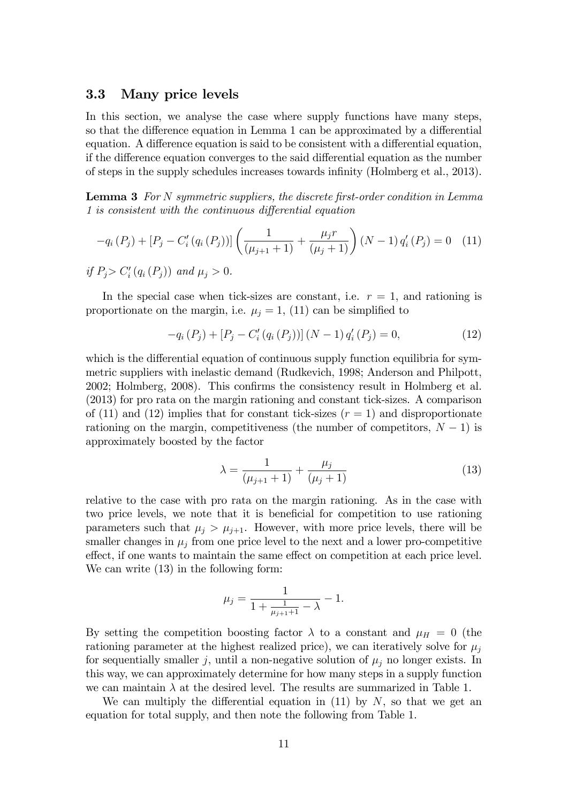#### 3.3 Many price levels

In this section, we analyse the case where supply functions have many steps, so that the difference equation in Lemma 1 can be approximated by a differential equation. A difference equation is said to be consistent with a differential equation, if the difference equation converges to the said differential equation as the number of steps in the supply schedules increases towards inÖnity (Holmberg et al., 2013).

**Lemma 3** For N symmetric suppliers, the discrete first-order condition in Lemma 1 is consistent with the continuous differential equation

$$
-q_i(P_j) + [P_j - C'_i(q_i(P_j))] \left( \frac{1}{(\mu_{j+1} + 1)} + \frac{\mu_j r}{(\mu_j + 1)} \right) (N - 1) q'_i(P_j) = 0 \quad (11)
$$

if  $P_j > C'_i (q_i (P_j))$  and  $\mu_j > 0$ .

In the special case when tick-sizes are constant, i.e.  $r = 1$ , and rationing is proportionate on the margin, i.e.  $\mu_j = 1$ , (11) can be simplified to

$$
-q_i(P_j) + [P_j - C'_i(q_i(P_j))](N-1)q'_i(P_j) = 0,
$$
\n(12)

which is the differential equation of continuous supply function equilibria for symmetric suppliers with inelastic demand (Rudkevich, 1998; Anderson and Philpott, 2002; Holmberg, 2008). This confirms the consistency result in Holmberg et al. (2013) for pro rata on the margin rationing and constant tick-sizes. A comparison of (11) and (12) implies that for constant tick-sizes  $(r = 1)$  and disproportionate rationing on the margin, competitiveness (the number of competitors,  $N - 1$ ) is approximately boosted by the factor

$$
\lambda = \frac{1}{(\mu_{j+1} + 1)} + \frac{\mu_j}{(\mu_j + 1)}
$$
\n(13)

relative to the case with pro rata on the margin rationing. As in the case with two price levels, we note that it is beneficial for competition to use rationing parameters such that  $\mu_j > \mu_{j+1}$ . However, with more price levels, there will be smaller changes in  $\mu_i$  from one price level to the next and a lower pro-competitive effect, if one wants to maintain the same effect on competition at each price level. We can write  $(13)$  in the following form:

$$
\mu_j = \frac{1}{1 + \frac{1}{\mu_{j+1} + 1} - \lambda} - 1.
$$

By setting the competition boosting factor  $\lambda$  to a constant and  $\mu_H = 0$  (the rationing parameter at the highest realized price), we can iteratively solve for  $\mu_i$ for sequentially smaller j, until a non-negative solution of  $\mu_j$  no longer exists. In this way, we can approximately determine for how many steps in a supply function we can maintain  $\lambda$  at the desired level. The results are summarized in Table 1.

We can multiply the differential equation in (11) by  $N$ , so that we get an equation for total supply, and then note the following from Table 1.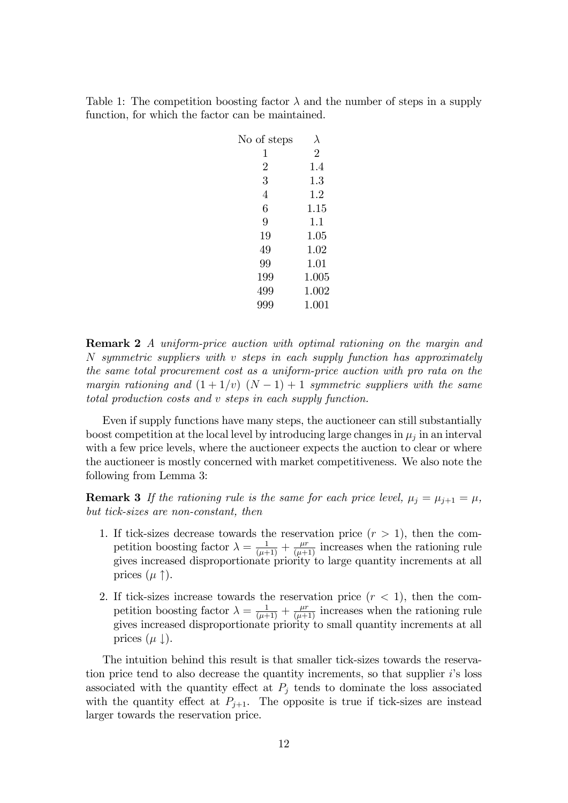Table 1: The competition boosting factor  $\lambda$  and the number of steps in a supply function, for which the factor can be maintained.

| No of steps    | λ              |
|----------------|----------------|
| 1              | $\overline{2}$ |
| $\overline{2}$ | 1.4            |
| 3              | $1.3\,$        |
| 4              | 1.2            |
| 6              | $1.15\,$       |
| 9              | 1.1            |
| 19             | $1.05\,$       |
| 49             | 1.02           |
| 99             | 1.01           |
| 199            | 1.005          |
| 499            | 1.002          |
| 999            | 1.001          |
|                |                |

Remark 2 A uniform-price auction with optimal rationing on the margin and N symmetric suppliers with v steps in each supply function has approximately the same total procurement cost as a uniform-price auction with pro rata on the margin rationing and  $(1+1/v)$   $(N-1) + 1$  symmetric suppliers with the same total production costs and v steps in each supply function.

Even if supply functions have many steps, the auctioneer can still substantially boost competition at the local level by introducing large changes in  $\mu_j$  in an interval with a few price levels, where the auctioneer expects the auction to clear or where the auctioneer is mostly concerned with market competitiveness. We also note the following from Lemma 3:

**Remark 3** If the rationing rule is the same for each price level,  $\mu_i = \mu_{i+1} = \mu$ . but tick-sizes are non-constant, then

- 1. If tick-sizes decrease towards the reservation price  $(r > 1)$ , then the competition boosting factor  $\lambda = \frac{1}{(\mu+1)} + \frac{\mu r}{(\mu+1)}$  increases when the rationing rule gives increased disproportionate priority to large quantity increments at all prices  $(\mu \uparrow)$ .
- 2. If tick-sizes increase towards the reservation price  $(r < 1)$ , then the competition boosting factor  $\lambda = \frac{1}{(\mu+1)} + \frac{\mu r}{(\mu+1)}$  increases when the rationing rule gives increased disproportionate priority to small quantity increments at all prices  $(\mu \downarrow)$ .

The intuition behind this result is that smaller tick-sizes towards the reservation price tend to also decrease the quantity increments, so that supplier  $i$ 's loss associated with the quantity effect at  $P_j$  tends to dominate the loss associated with the quantity effect at  $P_{j+1}$ . The opposite is true if tick-sizes are instead larger towards the reservation price.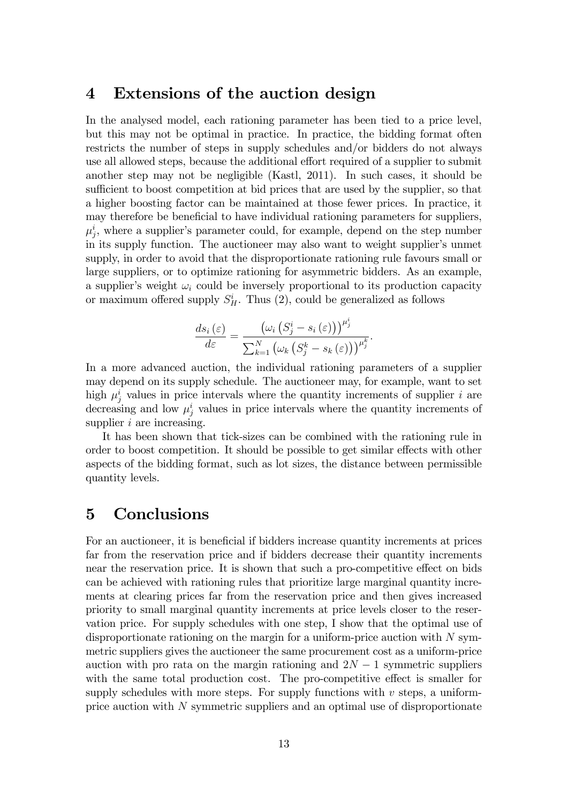### 4 Extensions of the auction design

In the analysed model, each rationing parameter has been tied to a price level, but this may not be optimal in practice. In practice, the bidding format often restricts the number of steps in supply schedules and/or bidders do not always use all allowed steps, because the additional effort required of a supplier to submit another step may not be negligible (Kastl, 2011). In such cases, it should be sufficient to boost competition at bid prices that are used by the supplier, so that a higher boosting factor can be maintained at those fewer prices. In practice, it may therefore be beneficial to have individual rationing parameters for suppliers,  $\mu_j^i$ , where a supplier's parameter could, for example, depend on the step number in its supply function. The auctioneer may also want to weight supplier's unmet supply, in order to avoid that the disproportionate rationing rule favours small or large suppliers, or to optimize rationing for asymmetric bidders. As an example, a supplier's weight  $\omega_i$  could be inversely proportional to its production capacity or maximum offered supply  $S_H^i$ . Thus (2), could be generalized as follows

$$
\frac{ds_i(\varepsilon)}{d\varepsilon} = \frac{\left(\omega_i \left(S_j^i - s_i\left(\varepsilon\right)\right)\right)^{\mu_j^i}}{\sum_{k=1}^N \left(\omega_k \left(S_j^k - s_k\left(\varepsilon\right)\right)\right)^{\mu_j^k}}.
$$

In a more advanced auction, the individual rationing parameters of a supplier may depend on its supply schedule. The auctioneer may, for example, want to set high  $\mu_j^i$  values in price intervals where the quantity increments of supplier i are decreasing and low  $\mu_j^i$  values in price intervals where the quantity increments of supplier *i* are increasing.

It has been shown that tick-sizes can be combined with the rationing rule in order to boost competition. It should be possible to get similar effects with other aspects of the bidding format, such as lot sizes, the distance between permissible quantity levels.

## 5 Conclusions

For an auctioneer, it is beneficial if bidders increase quantity increments at prices far from the reservation price and if bidders decrease their quantity increments near the reservation price. It is shown that such a pro-competitive effect on bids can be achieved with rationing rules that prioritize large marginal quantity increments at clearing prices far from the reservation price and then gives increased priority to small marginal quantity increments at price levels closer to the reservation price. For supply schedules with one step, I show that the optimal use of disproportionate rationing on the margin for a uniform-price auction with N symmetric suppliers gives the auctioneer the same procurement cost as a uniform-price auction with pro rata on the margin rationing and  $2N - 1$  symmetric suppliers with the same total production cost. The pro-competitive effect is smaller for supply schedules with more steps. For supply functions with  $v$  steps, a uniformprice auction with N symmetric suppliers and an optimal use of disproportionate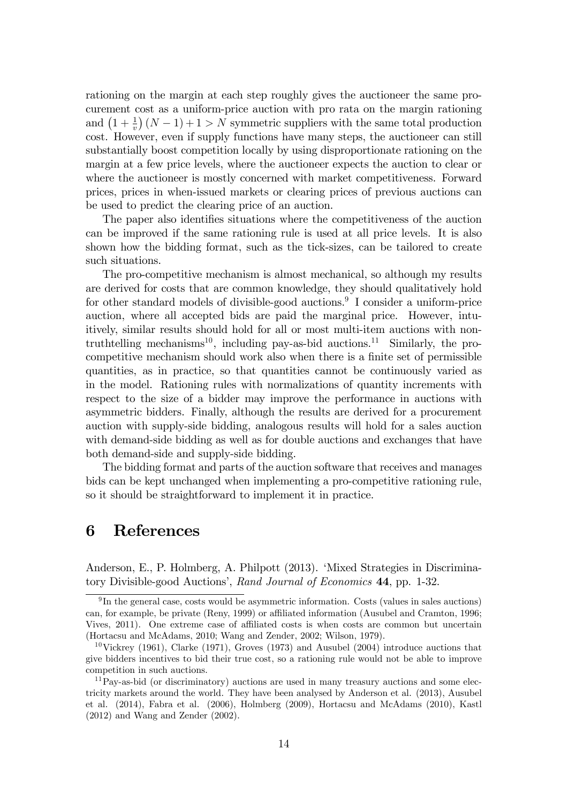rationing on the margin at each step roughly gives the auctioneer the same procurement cost as a uniform-price auction with pro rata on the margin rationing and  $\left(1+\frac{1}{v}\right)(N-1)+1>N$  symmetric suppliers with the same total production cost. However, even if supply functions have many steps, the auctioneer can still substantially boost competition locally by using disproportionate rationing on the margin at a few price levels, where the auctioneer expects the auction to clear or where the auctioneer is mostly concerned with market competitiveness. Forward prices, prices in when-issued markets or clearing prices of previous auctions can be used to predict the clearing price of an auction.

The paper also identifies situations where the competitiveness of the auction can be improved if the same rationing rule is used at all price levels. It is also shown how the bidding format, such as the tick-sizes, can be tailored to create such situations.

The pro-competitive mechanism is almost mechanical, so although my results are derived for costs that are common knowledge, they should qualitatively hold for other standard models of divisible-good auctions.<sup>9</sup> I consider a uniform-price auction, where all accepted bids are paid the marginal price. However, intuitively, similar results should hold for all or most multi-item auctions with nontruthtelling mechanisms<sup>10</sup>, including pay-as-bid auctions.<sup>11</sup> Similarly, the procompetitive mechanism should work also when there is a finite set of permissible quantities, as in practice, so that quantities cannot be continuously varied as in the model. Rationing rules with normalizations of quantity increments with respect to the size of a bidder may improve the performance in auctions with asymmetric bidders. Finally, although the results are derived for a procurement auction with supply-side bidding, analogous results will hold for a sales auction with demand-side bidding as well as for double auctions and exchanges that have both demand-side and supply-side bidding.

The bidding format and parts of the auction software that receives and manages bids can be kept unchanged when implementing a pro-competitive rationing rule, so it should be straightforward to implement it in practice.

### 6 References

Anderson, E., P. Holmberg, A. Philpott (2013). 'Mixed Strategies in Discriminatory Divisible-good Auctions', Rand Journal of Economics 44, pp. 1-32.

<sup>&</sup>lt;sup>9</sup>In the general case, costs would be asymmetric information. Costs (values in sales auctions) can, for example, be private (Reny, 1999) or affiliated information (Ausubel and Cramton, 1996; Vives, 2011). One extreme case of affiliated costs is when costs are common but uncertain (Hortacsu and McAdams, 2010; Wang and Zender, 2002; Wilson, 1979).

 $10\,\text{Vickrey}$  (1961), Clarke (1971), Groves (1973) and Ausubel (2004) introduce auctions that give bidders incentives to bid their true cost, so a rationing rule would not be able to improve competition in such auctions.

<sup>&</sup>lt;sup>11</sup>Pay-as-bid (or discriminatory) auctions are used in many treasury auctions and some electricity markets around the world. They have been analysed by Anderson et al. (2013), Ausubel et al. (2014), Fabra et al. (2006), Holmberg (2009), Hortacsu and McAdams (2010), Kastl (2012) and Wang and Zender (2002).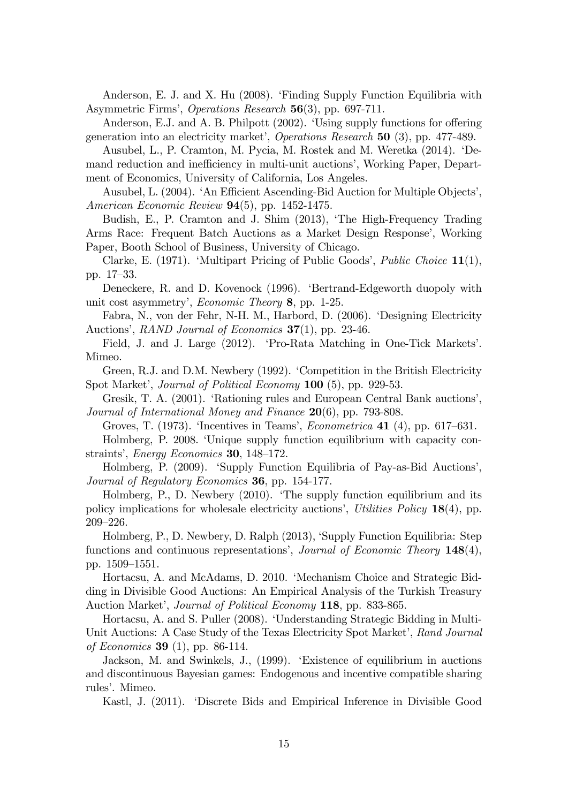Anderson, E. J. and X. Hu (2008). ëFinding Supply Function Equilibria with Asymmetric Firms', *Operations Research* 56(3), pp. 697-711.

Anderson, E.J. and A. B. Philpott (2002). 'Using supply functions for offering generation into an electricity market', Operations Research  $50$  (3), pp. 477-489.

Ausubel, L., P. Cramton, M. Pycia, M. Rostek and M. Weretka (2014). ëDemand reduction and inefficiency in multi-unit auctions', Working Paper, Department of Economics, University of California, Los Angeles.

Ausubel, L. (2004). 'An Efficient Ascending-Bid Auction for Multiple Objects', American Economic Review 94(5), pp. 1452-1475.

Budish, E., P. Cramton and J. Shim (2013), ëThe High-Frequency Trading Arms Race: Frequent Batch Auctions as a Market Design Response', Working Paper, Booth School of Business, University of Chicago.

Clarke, E. (1971). 'Multipart Pricing of Public Goods', *Public Choice*  $11(1)$ , pp. 17–33.

Deneckere, R. and D. Kovenock (1996). 'Bertrand-Edgeworth duopoly with unit cost asymmetry', *Economic Theory* 8, pp. 1-25.

Fabra, N., von der Fehr, N-H. M., Harbord, D. (2006). ëDesigning Electricity Auctions', RAND Journal of Economics  $37(1)$ , pp. 23-46.

Field, J. and J. Large (2012). 'Pro-Rata Matching in One-Tick Markets'. Mimeo.

Green, R.J. and D.M. Newbery (1992). 'Competition in the British Electricity Spot Market', *Journal of Political Economy* **100** (5), pp. 929-53.

Gresik, T. A. (2001). 'Rationing rules and European Central Bank auctions', Journal of International Money and Finance 20(6), pp. 793-808.

Groves, T.  $(1973)$ . The entives in Teams', *Econometrica* 41  $(4)$ , pp. 617–631.

Holmberg, P. 2008. Unique supply function equilibrium with capacity constraints', Energy Economics 30, 148–172.

Holmberg, P. (2009). 'Supply Function Equilibria of Pay-as-Bid Auctions'. Journal of Regulatory Economics 36, pp. 154-177.

Holmberg, P., D. Newbery (2010). The supply function equilibrium and its policy implications for wholesale electricity auctions', Utilities Policy  $18(4)$ , pp.  $209 - 226$ .

Holmberg, P., D. Newbery, D. Ralph (2013), 'Supply Function Equilibria: Step functions and continuous representations', Journal of Economic Theory  $148(4)$ , pp.  $1509-1551$ .

Hortacsu, A. and McAdams, D. 2010. 'Mechanism Choice and Strategic Bidding in Divisible Good Auctions: An Empirical Analysis of the Turkish Treasury Auction Market', Journal of Political Economy 118, pp. 833-865.

Hortacsu, A. and S. Puller (2008). ëUnderstanding Strategic Bidding in Multi-Unit Auctions: A Case Study of the Texas Electricity Spot Market', Rand Journal of Economics 39 (1), pp. 86-114.

Jackson, M. and Swinkels, J., (1999). 'Existence of equilibrium in auctions and discontinuous Bayesian games: Endogenous and incentive compatible sharing rules'. Mimeo.

Kastl, J. (2011). ëDiscrete Bids and Empirical Inference in Divisible Good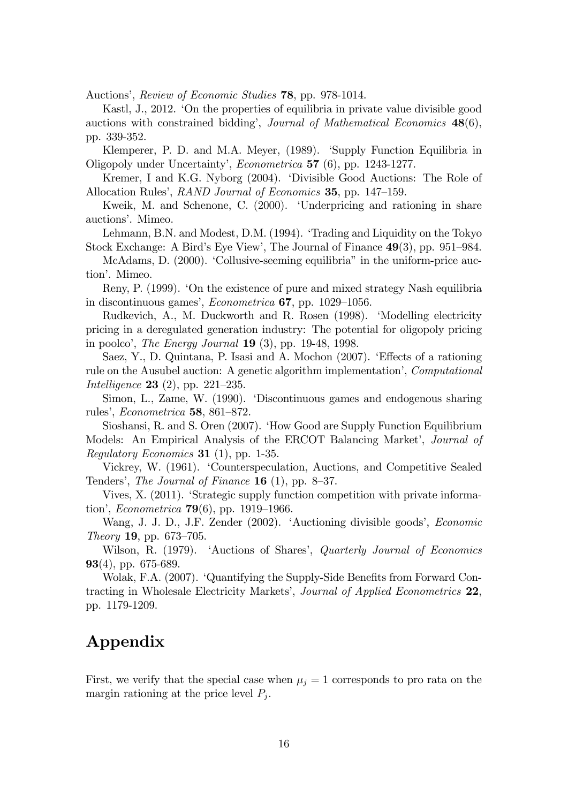Auctions', Review of Economic Studies 78, pp. 978-1014.

Kastl, J., 2012. 'On the properties of equilibria in private value divisible good auctions with constrained bidding', Journal of Mathematical Economics  $48(6)$ , pp. 339-352.

Klemperer, P. D. and M.A. Meyer, (1989). 'Supply Function Equilibria in Oligopoly under Uncertaintyí, Econometrica 57 (6), pp. 1243-1277.

Kremer, I and K.G. Nyborg (2004). ëDivisible Good Auctions: The Role of Allocation Rules', *RAND Journal of Economics* 35, pp. 147–159.

Kweik, M. and Schenone, C. (2000). 'Underpricing and rationing in share auctions'. Mimeo.

Lehmann, B.N. and Modest, D.M. (1994). 'Trading and Liquidity on the Tokyo Stock Exchange: A Bird's Eye View', The Journal of Finance  $49(3)$ , pp.  $951-984$ .

McAdams, D. (2000). 'Collusive-seeming equilibria" in the uniform-price auction'. Mimeo.

Reny, P. (1999). 'On the existence of pure and mixed strategy Nash equilibria in discontinuous games', *Econometrica*  $67$ , pp. 1029–1056.

Rudkevich, A., M. Duckworth and R. Rosen (1998). 'Modelling electricity pricing in a deregulated generation industry: The potential for oligopoly pricing in poolco', The Energy Journal  $19$  (3), pp. 19-48, 1998.

Saez, Y., D. Quintana, P. Isasi and A. Mochon (2007). Effects of a rationing rule on the Ausubel auction: A genetic algorithm implementation', *Computational Intelligence* **23** (2), pp. 221–235.

Simon, L., Zame, W. (1990). ëDiscontinuous games and endogenous sharing rules', *Econometrica* 58, 861–872.

Sioshansi, R. and S. Oren (2007). ëHow Good are Supply Function Equilibrium Models: An Empirical Analysis of the ERCOT Balancing Market', Journal of Regulatory Economics 31 (1), pp. 1-35.

Vickrey, W. (1961). ëCounterspeculation, Auctions, and Competitive Sealed Tenders', The Journal of Finance  $16(1)$ , pp. 8–37.

Vives, X. (2011). Strategic supply function competition with private information', *Econometrica* **79**(6), pp. 1919–1966.

Wang, J. J. D., J.F. Zender (2002). 'Auctioning divisible goods', *Economic* Theory 19, pp.  $673-705$ .

Wilson, R. (1979). 'Auctions of Shares', Quarterly Journal of Economics 93(4), pp. 675-689.

Wolak, F.A. (2007). 'Quantifying the Supply-Side Benefits from Forward Contracting in Wholesale Electricity Markets', Journal of Applied Econometrics 22, pp. 1179-1209.

# Appendix

First, we verify that the special case when  $\mu_j = 1$  corresponds to pro rata on the margin rationing at the price level  $P_j$ .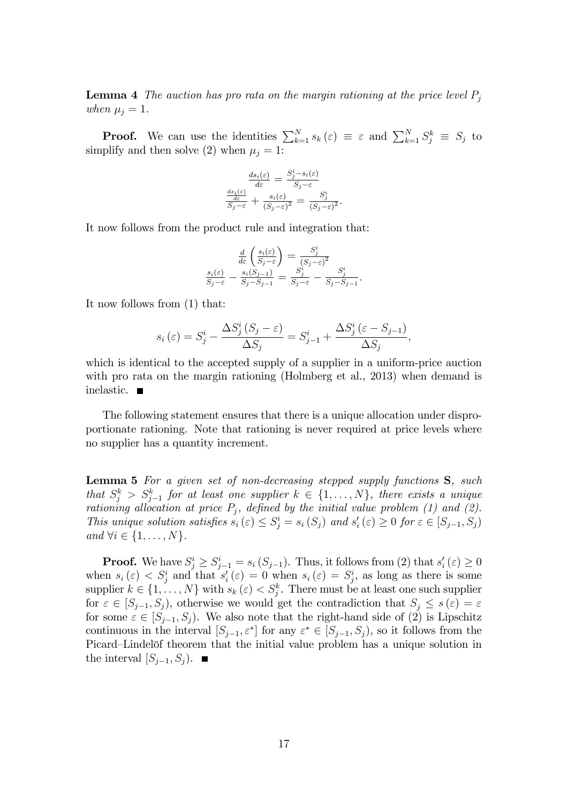**Lemma 4** The auction has pro rata on the margin rationing at the price level  $P_i$ when  $\mu_i = 1$ .

**Proof.** We can use the identities  $\sum_{k=1}^{N} s_k (\varepsilon) \equiv \varepsilon$  and  $\sum_{k=1}^{N} S_j^k \equiv S_j$  to simplify and then solve (2) when  $\mu_i = 1$ :

$$
\frac{\frac{ds_i(\varepsilon)}{d\varepsilon}}{\frac{s_i(\varepsilon)}{s_j-\varepsilon}} + \frac{s_i(\varepsilon)}{(S_j-\varepsilon)^2} = \frac{S_j^i}{(S_j-\varepsilon)^2}.
$$

It now follows from the product rule and integration that:

$$
\frac{d}{d\varepsilon} \left( \frac{s_i(\varepsilon)}{S_j - \varepsilon} \right) = \frac{S_j^i}{(S_j - \varepsilon)^2}
$$

$$
\frac{s_i(\varepsilon)}{S_j - \varepsilon} - \frac{s_i(S_{j-1})}{S_j - S_{j-1}} = \frac{S_j^i}{S_j - \varepsilon} - \frac{S_j^i}{S_j - S_{j-1}}
$$

:

It now follows from (1) that:

$$
s_i(\varepsilon) = S_j^i - \frac{\Delta S_j^i (S_j - \varepsilon)}{\Delta S_j} = S_{j-1}^i + \frac{\Delta S_j^i (\varepsilon - S_{j-1})}{\Delta S_j},
$$

which is identical to the accepted supply of a supplier in a uniform-price auction with pro rata on the margin rationing (Holmberg et al., 2013) when demand is inelastic.

The following statement ensures that there is a unique allocation under disproportionate rationing. Note that rationing is never required at price levels where no supplier has a quantity increment.

Lemma 5 For a given set of non-decreasing stepped supply functions S, such that  $S_j^k > S_{j-1}^k$  for at least one supplier  $k \in \{1, \ldots, N\}$ , there exists a unique rationing allocation at price  $P_j$ , defined by the initial value problem (1) and (2). This unique solution satisfies  $s_i(\varepsilon) \leq S_j^i = s_i(S_j)$  and  $s_i'(\varepsilon) \geq 0$  for  $\varepsilon \in [S_{j-1}, S_j)$ and  $\forall i \in \{1, \ldots, N\}.$ 

**Proof.** We have  $S_j^i \geq S_{j-1}^i = s_i (S_{j-1})$ . Thus, it follows from (2) that  $s_i'(\varepsilon) \geq 0$ when  $s_i(\varepsilon) < S_j^i$  and that  $s_i'(\varepsilon) = 0$  when  $s_i(\varepsilon) = S_j^i$ , as long as there is some supplier  $k \in \{1, \ldots, N\}$  with  $s_k(\varepsilon) < S_j^k$ . There must be at least one such supplier for  $\varepsilon \in [S_{j-1}, S_j)$ , otherwise we would get the contradiction that  $S_j \leq s(\varepsilon) = \varepsilon$ for some  $\varepsilon \in [S_{j-1}, S_j)$ . We also note that the right-hand side of  $(2)$  is Lipschitz continuous in the interval  $[S_{j-1}, \varepsilon^*]$  for any  $\varepsilon^* \in [S_{j-1}, S_j)$ , so it follows from the Picard–Lindelöf theorem that the initial value problem has a unique solution in the interval  $[S_{j-1}, S_j]$ .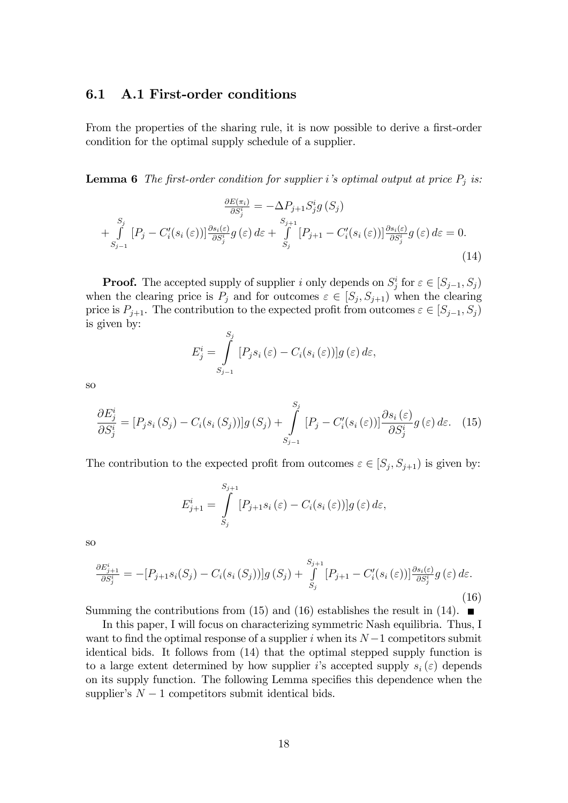#### 6.1 A.1 First-order conditions

From the properties of the sharing rule, it is now possible to derive a first-order condition for the optimal supply schedule of a supplier.

**Lemma 6** The first-order condition for supplier i's optimal output at price  $P_j$  is:

$$
\frac{\partial E(\pi_i)}{\partial S_j^i} = -\Delta P_{j+1} S_j^i g(S_j)
$$
  
+ 
$$
\int_{S_{j-1}}^{S_j} [P_j - C_i'(s_i(\varepsilon))] \frac{\partial s_i(\varepsilon)}{\partial S_j^i} g(\varepsilon) d\varepsilon + \int_{S_j}^{S_{j+1}} [P_{j+1} - C_i'(s_i(\varepsilon))] \frac{\partial s_i(\varepsilon)}{\partial S_j^i} g(\varepsilon) d\varepsilon = 0.
$$
(14)

**Proof.** The accepted supply of supplier i only depends on  $S_j^i$  for  $\varepsilon \in [S_{j-1}, S_j)$ when the clearing price is  $P_j$  and for outcomes  $\varepsilon \in [S_j, S_{j+1})$  when the clearing price is  $P_{j+1}$ . The contribution to the expected profit from outcomes  $\varepsilon \in [S_{j-1}, S_j]$ is given by:

$$
E_j^i = \int\limits_{S_{j-1}}^{S_j} [P_j s_i(\varepsilon) - C_i(s_i(\varepsilon))] g(\varepsilon) d\varepsilon,
$$

so

$$
\frac{\partial E_j^i}{\partial S_j^i} = [P_j s_i(S_j) - C_i(s_i(S_j))]g(S_j) + \int_{S_{j-1}}^{S_j} [P_j - C_i'(s_i(\varepsilon))] \frac{\partial s_i(\varepsilon)}{\partial S_j^i} g(\varepsilon) d\varepsilon. \tag{15}
$$

The contribution to the expected profit from outcomes  $\varepsilon \in [S_j, S_{j+1})$  is given by:

$$
E_{j+1}^{i} = \int_{S_j}^{S_{j+1}} [P_{j+1} s_i(\varepsilon) - C_i(s_i(\varepsilon))] g(\varepsilon) d\varepsilon,
$$

so

$$
\frac{\partial E_{j+1}^i}{\partial S_j^i} = -[P_{j+1} s_i(S_j) - C_i(s_i(S_j))]g(S_j) + \int\limits_{S_j}^{S_{j+1}} [P_{j+1} - C'_i(s_i(\varepsilon))] \frac{\partial s_i(\varepsilon)}{\partial S_j^i} g(\varepsilon) d\varepsilon. \tag{16}
$$

Summing the contributions from (15) and (16) establishes the result in (14).

In this paper, I will focus on characterizing symmetric Nash equilibria. Thus, I want to find the optimal response of a supplier i when its  $N-1$  competitors submit identical bids. It follows from (14) that the optimal stepped supply function is to a large extent determined by how supplier i's accepted supply  $s_i(\varepsilon)$  depends on its supply function. The following Lemma specifies this dependence when the supplier's  $N - 1$  competitors submit identical bids.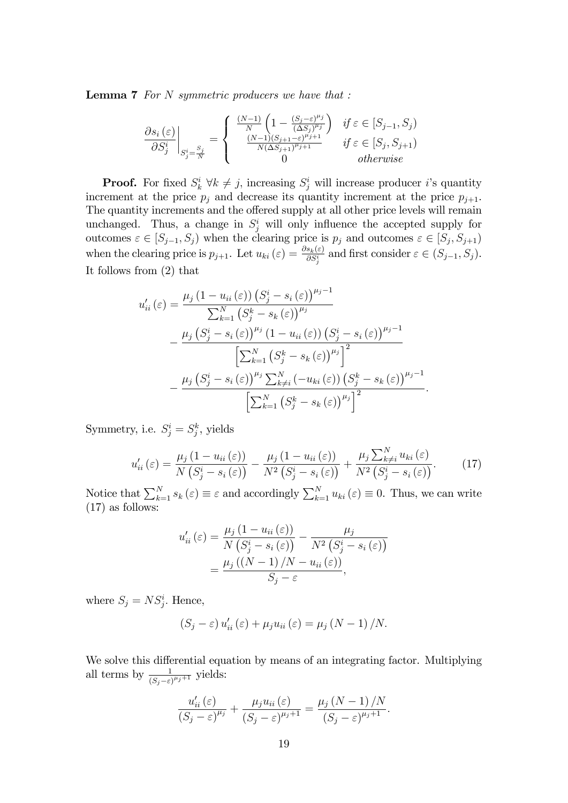**Lemma 7** For  $N$  symmetric producers we have that :

$$
\frac{\partial s_i(\varepsilon)}{\partial S_j^i}\bigg|_{S_j^i = \frac{S_j}{N}} = \begin{cases} \frac{(N-1)}{N} \left(1 - \frac{(S_j - \varepsilon)^{\mu_j}}{(\Delta S_j)^{\mu_j}}\right) & \text{if } \varepsilon \in [S_{j-1}, S_j] \\ \frac{(N-1)(S_{j+1} - \varepsilon)^{\mu_{j+1}}}{N(\Delta S_{j+1})^{\mu_{j+1}}} & \text{if } \varepsilon \in [S_j, S_{j+1}) \\ 0 & \text{otherwise} \end{cases}
$$

**Proof.** For fixed  $S_k^i \ \forall k \neq j$ , increasing  $S_j^i$  will increase producer i's quantity increment at the price  $p_j$  and decrease its quantity increment at the price  $p_{j+1}$ . The quantity increments and the offered supply at all other price levels will remain unchanged. Thus, a change in  $S_j^i$  will only influence the accepted supply for outcomes  $\varepsilon \in [S_{j-1}, S_j)$  when the clearing price is  $p_j$  and outcomes  $\varepsilon \in [S_j, S_{j+1})$ when the clearing price is  $p_{j+1}$ . Let  $u_{ki}(\varepsilon) = \frac{\partial s_k(\varepsilon)}{\partial S_j^i}$  and first consider  $\varepsilon \in (S_{j-1}, S_j)$ . It follows from (2) that

$$
u'_{ii}(\varepsilon) = \frac{\mu_j (1 - u_{ii}(\varepsilon)) (S_j^i - s_i(\varepsilon))^{\mu_j - 1}}{\sum_{k=1}^N (S_j^k - s_k(\varepsilon))^{\mu_j}} - \frac{\mu_j (S_j^i - s_i(\varepsilon))^{\mu_j} (1 - u_{ii}(\varepsilon)) (S_j^i - s_i(\varepsilon))^{\mu_j - 1}}{\left[\sum_{k=1}^N (S_j^k - s_k(\varepsilon))^{1} \right]^2} - \frac{\mu_j (S_j^i - s_i(\varepsilon))^{\mu_j} \sum_{k \neq i}^N (-u_{ki}(\varepsilon)) (S_j^k - s_k(\varepsilon))^{\mu_j - 1}}{\left[\sum_{k=1}^N (S_j^k - s_k(\varepsilon))^{1} \right]^2}.
$$

Symmetry, i.e.  $S_j^i = S_j^k$ , yields

$$
u'_{ii}(\varepsilon) = \frac{\mu_j \left(1 - u_{ii}(\varepsilon)\right)}{N\left(S_j^i - s_i(\varepsilon)\right)} - \frac{\mu_j \left(1 - u_{ii}(\varepsilon)\right)}{N^2\left(S_j^i - s_i(\varepsilon)\right)} + \frac{\mu_j \sum_{k \neq i}^N u_{ki}(\varepsilon)}{N^2\left(S_j^i - s_i(\varepsilon)\right)}.
$$
 (17)

Notice that  $\sum_{k=1}^{N} s_k (\varepsilon) \equiv \varepsilon$  and accordingly  $\sum_{k=1}^{N} u_{ki} (\varepsilon) \equiv 0$ . Thus, we can write (17) as follows:

$$
u'_{ii}(\varepsilon) = \frac{\mu_j (1 - u_{ii}(\varepsilon))}{N (S_j^i - s_i(\varepsilon))} - \frac{\mu_j}{N^2 (S_j^i - s_i(\varepsilon))}
$$
  
= 
$$
\frac{\mu_j ((N-1)/N - u_{ii}(\varepsilon))}{S_j - \varepsilon},
$$

where  $S_j = NS_j^i$ . Hence,

$$
(S_j - \varepsilon) u'_{ii}(\varepsilon) + \mu_j u_{ii}(\varepsilon) = \mu_j (N - 1) / N.
$$

We solve this differential equation by means of an integrating factor. Multiplying all terms by  $\frac{1}{(S_j-\varepsilon)^{\mu_j+1}}$  yields:

$$
\frac{u'_{ii}(\varepsilon)}{(S_j-\varepsilon)^{\mu_j}}+\frac{\mu_j u_{ii}(\varepsilon)}{(S_j-\varepsilon)^{\mu_j+1}}=\frac{\mu_j (N-1)/N}{(S_j-\varepsilon)^{\mu_j+1}}.
$$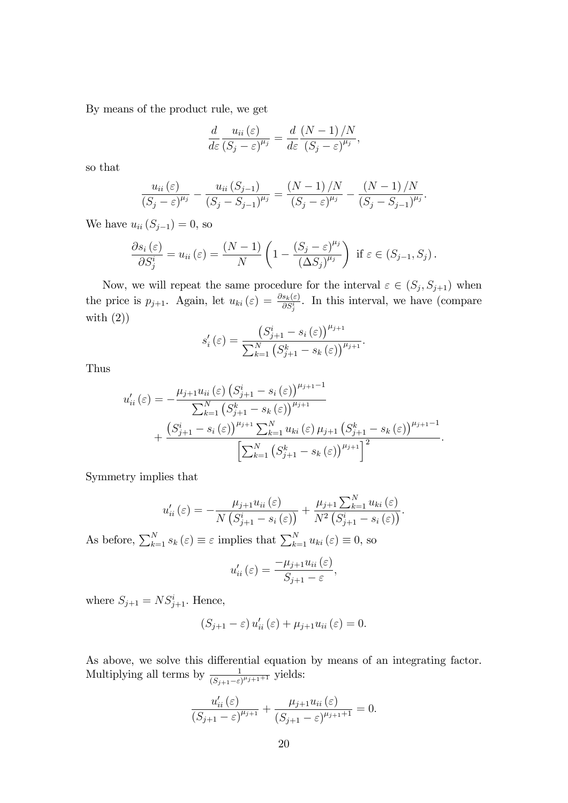By means of the product rule, we get

$$
\frac{d}{d\varepsilon}\frac{u_{ii}(\varepsilon)}{(S_j-\varepsilon)^{\mu_j}}=\frac{d}{d\varepsilon}\frac{(N-1)/N}{(S_j-\varepsilon)^{\mu_j}},
$$

so that

$$
\frac{u_{ii}(\varepsilon)}{(S_j-\varepsilon)^{\mu_j}}-\frac{u_{ii}(S_{j-1})}{(S_j-S_{j-1})^{\mu_j}}=\frac{(N-1)/N}{(S_j-\varepsilon)^{\mu_j}}-\frac{(N-1)/N}{(S_j-S_{j-1})^{\mu_j}}.
$$

We have  $u_{ii} (S_{j-1}) = 0$ , so

$$
\frac{\partial s_i(\varepsilon)}{\partial S_j^i} = u_{ii}(\varepsilon) = \frac{(N-1)}{N} \left( 1 - \frac{(S_j - \varepsilon)^{\mu_j}}{(\Delta S_j)^{\mu_j}} \right) \text{ if } \varepsilon \in (S_{j-1}, S_j) .
$$

Now, we will repeat the same procedure for the interval  $\varepsilon \in (S_j, S_{j+1})$  when the price is  $p_{j+1}$ . Again, let  $u_{ki}(\varepsilon) = \frac{\partial s_k(\varepsilon)}{\partial S_j^i}$ . In this interval, we have (compare with  $(2)$  $\sim$  11

$$
s'_{i}(\varepsilon) = \frac{\left(S_{j+1}^{i} - s_{i}(\varepsilon)\right)^{\mu_{j+1}}}{\sum_{k=1}^{N} \left(S_{j+1}^{k} - s_{k}(\varepsilon)\right)^{\mu_{j+1}}}.
$$

Thus

$$
u'_{ii}(\varepsilon) = -\frac{\mu_{j+1} u_{ii}(\varepsilon) \left(S_{j+1}^i - s_i(\varepsilon)\right)^{\mu_{j+1}-1}}{\sum_{k=1}^N \left(S_{j+1}^k - s_k(\varepsilon)\right)^{\mu_{j+1}}} + \frac{\left(S_{j+1}^i - s_i(\varepsilon)\right)^{\mu_{j+1}} \sum_{k=1}^N u_{ki}(\varepsilon) \mu_{j+1} \left(S_{j+1}^k - s_k(\varepsilon)\right)^{\mu_{j+1}-1}}{\left[\sum_{k=1}^N \left(S_{j+1}^k - s_k(\varepsilon)\right)^{\mu_{j+1}}\right]^2}.
$$

Symmetry implies that

$$
u'_{ii}(\varepsilon) = -\frac{\mu_{j+1} u_{ii}(\varepsilon)}{N(S_{j+1}^i - s_i(\varepsilon))} + \frac{\mu_{j+1} \sum_{k=1}^N u_{ki}(\varepsilon)}{N^2(S_{j+1}^i - s_i(\varepsilon))}.
$$

As before,  $\sum_{k=1}^{N} s_k(\varepsilon) \equiv \varepsilon$  implies that  $\sum_{k=1}^{N} u_{ki}(\varepsilon) \equiv 0$ , so

$$
u'_{ii}(\varepsilon) = \frac{-\mu_{j+1}u_{ii}(\varepsilon)}{S_{j+1} - \varepsilon},
$$

where  $S_{j+1} = NS_{j+1}^i$ . Hence,

$$
(S_{j+1} - \varepsilon) u'_{ii}(\varepsilon) + \mu_{j+1} u_{ii}(\varepsilon) = 0.
$$

As above, we solve this differential equation by means of an integrating factor. Multiplying all terms by  $\frac{1}{(S_{j+1}-\varepsilon)^{\mu_{j+1}+1}}$  yields:

$$
\frac{u'_{ii}(\varepsilon)}{(S_{j+1}-\varepsilon)^{\mu_{j+1}}} + \frac{\mu_{j+1}u_{ii}(\varepsilon)}{(S_{j+1}-\varepsilon)^{\mu_{j+1}+1}} = 0.
$$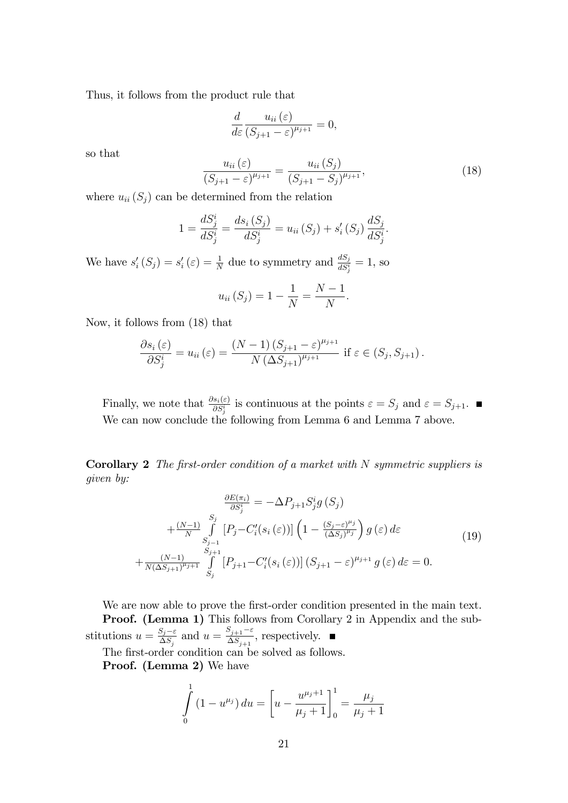Thus, it follows from the product rule that

$$
\frac{d}{d\varepsilon}\frac{u_{ii}\left(\varepsilon\right)}{\left(S_{j+1}-\varepsilon\right)^{\mu_{j+1}}}=0,
$$

so that

$$
\frac{u_{ii}(\varepsilon)}{(S_{j+1}-\varepsilon)^{\mu_{j+1}}} = \frac{u_{ii}(S_j)}{(S_{j+1}-S_j)^{\mu_{j+1}}},\tag{18}
$$

where  $u_{ii} (S_j)$  can be determined from the relation

$$
1 = \frac{dS_j^i}{dS_j^i} = \frac{ds_i(S_j)}{dS_j^i} = u_{ii}(S_j) + s_i'(S_j)\frac{dS_j}{dS_j^i}.
$$

We have  $s'_{i}(S_{j}) = s'_{i}(\varepsilon) = \frac{1}{N}$  due to symmetry and  $\frac{dS_{j}}{dS_{j}^{i}} = 1$ , so

$$
u_{ii}(S_j) = 1 - \frac{1}{N} = \frac{N-1}{N}.
$$

Now, it follows from (18) that

$$
\frac{\partial s_i(\varepsilon)}{\partial S_j^i} = u_{ii}(\varepsilon) = \frac{(N-1)\left(S_{j+1} - \varepsilon\right)^{\mu_{j+1}}}{N\left(\Delta S_{j+1}\right)^{\mu_{j+1}}} \text{ if } \varepsilon \in (S_j, S_{j+1})\,.
$$

Finally, we note that  $\frac{\partial s_i(\varepsilon)}{\partial S_j^i}$  is continuous at the points  $\varepsilon = S_j$  and  $\varepsilon = S_{j+1}$ . We can now conclude the following from Lemma 6 and Lemma 7 above.

**Corollary 2** The first-order condition of a market with  $N$  symmetric suppliers is given by:

$$
\frac{\partial E(\pi_i)}{\partial S_j^i} = -\Delta P_{j+1} S_j^i g(S_j)
$$
  
+
$$
\frac{(N-1)}{N} \int_{S_{j-1}}^{S_j} [P_j - C_i'(s_i(\varepsilon))] \left(1 - \frac{(S_j - \varepsilon)^{\mu_j}}{(\Delta S_j)^{\mu_j}}\right) g(\varepsilon) d\varepsilon
$$
  
+
$$
\frac{(N-1)}{N(\Delta S_{j+1})^{\mu_{j+1}}} \int_{S_j}^{S_{j+1}} [P_{j+1} - C_i'(s_i(\varepsilon))] (S_{j+1} - \varepsilon)^{\mu_{j+1}} g(\varepsilon) d\varepsilon = 0.
$$
 (19)

We are now able to prove the first-order condition presented in the main text. Proof. (Lemma 1) This follows from Corollary 2 in Appendix and the substitutions  $u = \frac{S_j - \varepsilon}{\Delta S}$  $rac{S_j-\varepsilon}{\Delta S_j}$  and  $u = \frac{S_{j+1}-\varepsilon}{\Delta S_{j+1}}$  $\frac{\Delta S_{j+1}}{\Delta S_{j+1}}$ , respectively.

The first-order condition can be solved as follows.

Proof. (Lemma 2) We have

$$
\int_{0}^{1} (1 - u^{\mu_j}) du = \left[ u - \frac{u^{\mu_j + 1}}{\mu_j + 1} \right]_{0}^{1} = \frac{\mu_j}{\mu_j + 1}
$$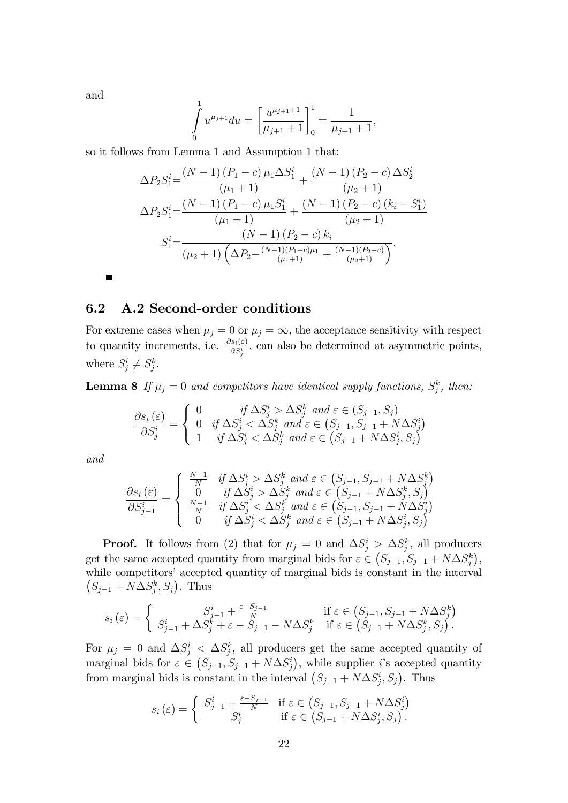and

$$
\int_{0}^{1} u^{\mu_{j+1}} du = \left[\frac{u^{\mu_{j+1}+1}}{\mu_{j+1}+1}\right]_{0}^{1} = \frac{1}{\mu_{j+1}+1},
$$

so it follows from Lemma 1 and Assumption 1 that:

$$
\Delta P_2 S_1^i = \frac{(N-1) (P_1 - c) \mu_1 \Delta S_1^i}{(\mu_1 + 1)} + \frac{(N-1) (P_2 - c) \Delta S_2^i}{(\mu_2 + 1)}
$$

$$
\Delta P_2 S_1^i = \frac{(N-1) (P_1 - c) \mu_1 S_1^i}{(\mu_1 + 1)} + \frac{(N-1) (P_2 - c) (k_i - S_1^i)}{(\mu_2 + 1)}
$$

$$
S_1^i = \frac{(N-1) (P_2 - c) k_i}{(\mu_2 + 1) (\Delta P_2 - \frac{(N-1)(P_1 - c) \mu_1}{(\mu_1 + 1)} + \frac{(N-1)(P_2 - c)}{(\mu_2 + 1)})}.
$$

### 6.2 A.2 Second-order conditions

For extreme cases when  $\mu_j = 0$  or  $\mu_j = \infty$ , the acceptance sensitivity with respect to quantity increments, i.e.  $\frac{\partial s_i(\varepsilon)}{\partial S_j^i}$ , can also be determined at asymmetric points, where  $S_j^i \neq S_j^k$ .

**Lemma 8** If  $\mu_j = 0$  and competitors have identical supply functions,  $S_j^k$ , then:

$$
\frac{\partial s_i(\varepsilon)}{\partial S_j^i} = \begin{cases} 0 & \text{if } \Delta S_j^i > \Delta S_j^k \text{ and } \varepsilon \in (S_{j-1}, S_j) \\ 0 & \text{if } \Delta S_j^i < \Delta S_j^k \text{ and } \varepsilon \in (S_{j-1}, S_{j-1} + N \Delta S_j^i) \\ 1 & \text{if } \Delta S_j^i < \Delta S_j^k \text{ and } \varepsilon \in (S_{j-1} + N \Delta S_j^i, S_j) \end{cases}
$$

and

 $\blacksquare$ 

$$
\frac{\partial s_i(\varepsilon)}{\partial S_{j-1}^i} = \begin{cases}\n\frac{N-1}{N} & \text{if } \Delta S_j^i > \Delta S_j^k \text{ and } \varepsilon \in \left( S_{j-1}, S_{j-1} + N \Delta S_j^k \right) \\
0 & \text{if } \Delta S_j^i > \Delta S_j^k \text{ and } \varepsilon \in \left( S_{j-1} + N \Delta S_j^k, S_j \right) \\
\frac{N-1}{N} & \text{if } \Delta S_j^i < \Delta S_j^k \text{ and } \varepsilon \in \left( S_{j-1}, S_{j-1} + N \Delta S_j^i \right) \\
0 & \text{if } \Delta S_j^i < \Delta S_j^k \text{ and } \varepsilon \in \left( S_{j-1} + N \Delta S_j^i, S_j \right)\n\end{cases}
$$

**Proof.** It follows from (2) that for  $\mu_j = 0$  and  $\Delta S_j^i > \Delta S_j^k$ , all producers get the same accepted quantity from marginal bids for  $\varepsilon \in (S_{j-1}, S_{j-1} + N \Delta S_j^k)$ , while competitors' accepted quantity of marginal bids is constant in the interval  $(S_{j-1} + N\Delta S_j^k, S_j)$ . Thus

$$
s_i(\varepsilon) = \begin{cases} S_{j-1}^i + \frac{\varepsilon - S_{j-1}}{N} & \text{if } \varepsilon \in (S_{j-1}, S_{j-1} + N\Delta S_j^k) \\ S_{j-1}^i + \Delta S_j^k + \varepsilon - S_{j-1} - N\Delta S_j^k & \text{if } \varepsilon \in (S_{j-1} + N\Delta S_j^k, S_j) \,. \end{cases}
$$

For  $\mu_j = 0$  and  $\Delta S_j^i < \Delta S_j^k$ , all producers get the same accepted quantity of marginal bids for  $\varepsilon \in (S_{j-1}, S_{j-1} + N \Delta S_j^i)$ , while supplier *i*'s accepted quantity from marginal bids is constant in the interval  $(S_{j-1} + N \Delta S_j^i, S_j)$ . Thus

$$
s_i(\varepsilon) = \begin{cases} S_{j-1}^i + \frac{\varepsilon - S_{j-1}}{N} & \text{if } \varepsilon \in (S_{j-1}, S_{j-1} + N \Delta S_j^i) \\ S_j^i & \text{if } \varepsilon \in (S_{j-1} + N \Delta S_j^i, S_j) \end{cases}
$$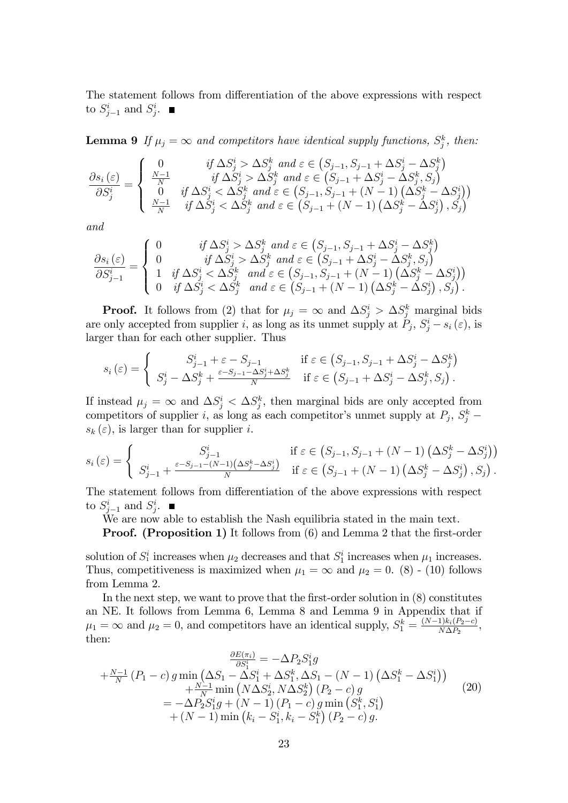The statement follows from differentiation of the above expressions with respect to  $S_{j-1}^i$  and  $S_j^i$ .

**Lemma 9** If  $\mu_j = \infty$  and competitors have identical supply functions,  $S_j^k$ , then:

$$
\frac{\partial s_i(\varepsilon)}{\partial S_j^i} = \begin{cases}\n0 & \text{if } \Delta S_j^i > \Delta S_j^k \text{ and } \varepsilon \in (S_{j-1}, S_{j-1} + \Delta S_j^i - \Delta S_j^k) \\
\frac{N-1}{N} & \text{if } \Delta S_j^i > \Delta S_j^k \text{ and } \varepsilon \in (S_{j-1} + \Delta S_j^i - \Delta S_j^k, S_j) \\
0 & \text{if } \Delta S_j^i < \Delta S_j^k \text{ and } \varepsilon \in (S_{j-1}, S_{j-1} + (N-1) \left( \Delta S_j^k - \Delta S_j^i \right)) \\
\frac{N-1}{N} & \text{if } \Delta S_j^i < \Delta S_j^k \text{ and } \varepsilon \in (S_{j-1} + (N-1) \left( \Delta S_j^k - \Delta S_j^i \right), S_j)\n\end{cases}
$$

and

$$
\frac{\partial s_i(\varepsilon)}{\partial S_{j-1}^i} = \begin{cases} 0 & \text{if } \Delta S_j^i > \Delta S_j^k \text{ and } \varepsilon \in (S_{j-1}, S_{j-1} + \Delta S_j^i - \Delta S_j^k) \\ 0 & \text{if } \Delta S_j^i > \Delta S_j^k \text{ and } \varepsilon \in (S_{j-1} + \Delta S_j^i - \Delta S_j^k, S_j) \\ 1 & \text{if } \Delta S_j^i < \Delta S_j^k \text{ and } \varepsilon \in (S_{j-1}, S_{j-1} + (N-1) \left( \Delta S_j^k - \Delta S_j^i \right)) \\ 0 & \text{if } \Delta S_j^i < \Delta S_j^k \text{ and } \varepsilon \in (S_{j-1} + (N-1) \left( \Delta S_j^k - \Delta S_j^i \right), S_j) . \end{cases}
$$

**Proof.** It follows from (2) that for  $\mu_j = \infty$  and  $\Delta S_j^i > \Delta S_j^k$  marginal bids are only accepted from supplier *i*, as long as its unmet supply at  $\tilde{P}_j$ ,  $S_j^i - s_i(\varepsilon)$ , is larger than for each other supplier. Thus

$$
s_i\left(\varepsilon\right) = \begin{cases} S_{j-1}^i + \varepsilon - S_{j-1} & \text{if } \varepsilon \in \left(S_{j-1}, S_{j-1} + \Delta S_j^i - \Delta S_j^k\right) \\ S_j^i - \Delta S_j^k + \frac{\varepsilon - S_{j-1} - \Delta S_j^i + \Delta S_j^k}{N} & \text{if } \varepsilon \in \left(S_{j-1} + \Delta S_j^i - \Delta S_j^k, S_j\right). \end{cases}
$$

If instead  $\mu_j = \infty$  and  $\Delta S_j^i < \Delta S_j^k$ , then marginal bids are only accepted from competitors of supplier *i*, as long as each competitor's unmet supply at  $P_j$ ,  $S_j^k$  –  $s_k(\varepsilon)$ , is larger than for supplier *i*.

$$
s_i(\varepsilon) = \begin{cases} S_{j-1}^i & \text{if } \varepsilon \in (S_{j-1}, S_{j-1} + (N-1) \left( \Delta S_j^k - \Delta S_j^i \right)) \\ S_{j-1}^i + \frac{\varepsilon - S_{j-1} - (N-1) \left( \Delta S_j^k - \Delta S_j^i \right)}{N} & \text{if } \varepsilon \in (S_{j-1} + (N-1) \left( \Delta S_j^k - \Delta S_j^i \right), S_j). \end{cases}
$$

The statement follows from differentiation of the above expressions with respect to  $S_{j-1}^i$  and  $S_j^i$ .

We are now able to establish the Nash equilibria stated in the main text.

**Proof.** (Proposition 1) It follows from (6) and Lemma 2 that the first-order

solution of  $S_1^i$  increases when  $\mu_2$  decreases and that  $S_1^i$  increases when  $\mu_1$  increases. Thus, competitiveness is maximized when  $\mu_1 = \infty$  and  $\mu_2 = 0$ . (8) - (10) follows from Lemma 2.

In the next step, we want to prove that the first-order solution in  $(8)$  constitutes an NE. It follows from Lemma 6, Lemma 8 and Lemma 9 in Appendix that if  $\mu_1 = \infty$  and  $\mu_2 = 0$ , and competitors have an identical supply,  $S_1^k = \frac{(N-1)k_i(P_2-c)}{N\Delta P_2}$ , then:

$$
\frac{\partial E(\pi_i)}{\partial S_1^i} = -\Delta P_2 S_1^i g
$$
\n
$$
+ \frac{N-1}{N} (P_1 - c) g \min \left( \Delta S_1 - \Delta S_1^i + \Delta S_1^k, \Delta S_1 - (N-1) \left( \Delta S_1^k - \Delta S_1^i \right) \right)
$$
\n
$$
+ \frac{N-1}{N} \min \left( N \Delta S_2^i, N \Delta S_2^k \right) (P_2 - c) g
$$
\n
$$
= -\Delta P_2 S_1^i g + (N-1) (P_1 - c) g \min \left( S_1^k, S_1^i \right)
$$
\n
$$
+ (N-1) \min \left( k_i - S_1^i, k_i - S_1^k \right) (P_2 - c) g.
$$
\n(20)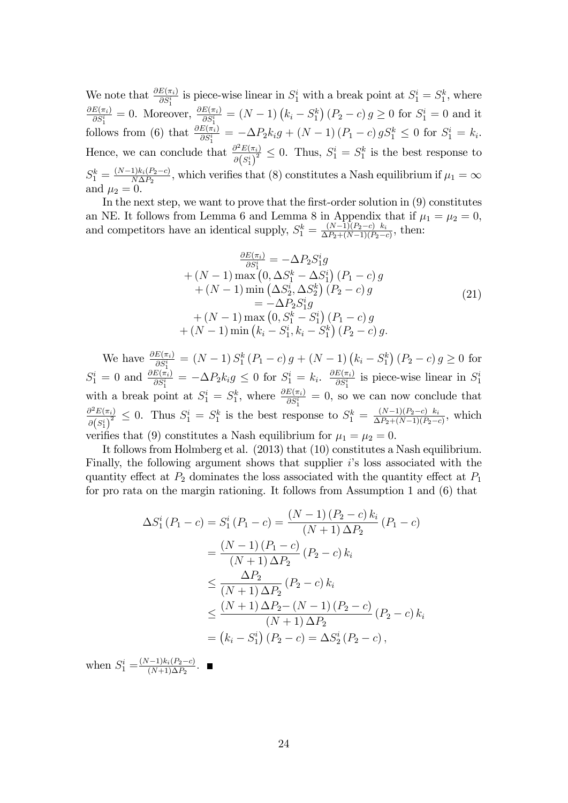We note that  $\frac{\partial E(\pi_i)}{\partial S_1^i}$  is piece-wise linear in  $S_1^i$  with a break point at  $S_1^i = S_1^k$ , where  $\frac{\partial E(\pi_i)}{\partial t} = 0$  Moroc  $\frac{E(\pi_i)}{\partial S_1^i} = 0$ . Moreover,  $\frac{\partial E(\pi_i)}{\partial S_1^i} = (N-1) (k_i - S_1^k) (P_2 - c) g \ge 0$  for  $S_1^i = 0$  and it follows from (6) that  $\frac{\partial E(\pi_i)}{\partial S_1^i} = -\Delta P_2 k_i g + (N-1) (P_1 - c) g S_1^k \leq 0$  for  $S_1^i = k_i$ . Hence, we can conclude that  $\frac{\partial^2 E(\pi_i)}{\partial (\sigma_i)^2}$  $\frac{\partial^2 E(\pi_i)}{\partial (S_1^i)^2} \leq 0$ . Thus,  $S_1^i = S_1^k$  is the best response to  $S_1^k = \frac{(N-1)k_i(P_2-c)}{N\Delta P_2}$ , which verifies that (8) constitutes a Nash equilibrium if  $\mu_1 = \infty$ and  $\mu_2 = 0$ .

In the next step, we want to prove that the first-order solution in  $(9)$  constitutes an NE. It follows from Lemma 6 and Lemma 8 in Appendix that if  $\mu_1 = \mu_2 = 0$ , and competitors have an identical supply,  $S_1^k = \frac{(N-1)(P_2-c)k_i}{\Delta P_2+(N-1)(P_2-c)}$  $\frac{(N-1)(P_2-c) \kappa_i}{\Delta P_2 + (N-1)(P_2-c)},$  then:

$$
\frac{\partial E(\pi_i)}{\partial S_1^i} = -\Delta P_2 S_1^i g
$$
  
+  $(N-1) \max (0, \Delta S_1^k - \Delta S_1^i) (P_1 - c) g$   
+  $(N-1) \min (\Delta S_2^i, \Delta S_2^k) (P_2 - c) g$   
=  $-\Delta P_2 S_1^i g$   
+  $(N-1) \max (0, S_1^k - S_1^i) (P_1 - c) g$   
+  $(N-1) \min (k_i - S_1^i, k_i - S_1^k) (P_2 - c) g$ . (21)

We have  $\frac{\partial E(\pi_i)}{\partial S_1^i} = (N-1) S_1^k (P_1 - c) g + (N-1) (k_i - S_1^k) (P_2 - c) g \ge 0$  for  $S_1^i = 0$  and  $\frac{\partial E(\pi_i)}{\partial S_1^i} = -\Delta P_2 k_i g \leq 0$  for  $S_1^i = k_i$ .  $\frac{\partial E(\pi_i)}{\partial S_1^i}$  $rac{E(\pi_i)}{\partial S_1^i}$  is piece-wise linear in  $S_1^i$ with a break point at  $S_1^i = S_1^k$ , where  $\frac{\partial E(\pi_i)}{\partial S_1^i} = 0$ , so we can now conclude that  $\partial^2 E(\pi_i)$  $\frac{\partial^2 E(\pi_i)}{\partial (S_1^i)^2} \leq 0$ . Thus  $S_1^i = S_1^k$  is the best response to  $S_1^k = \frac{(N-1)(P_2-c)k_i}{\Delta P_2+(N-1)(P_2-c)}$  $\frac{(N-1)(P_2-c) \kappa_i}{\Delta P_2 + (N-1)(P_2-c)}$ , which verifies that (9) constitutes a Nash equilibrium for  $\mu_1 = \mu_2 = 0$ .

It follows from Holmberg et al. (2013) that (10) constitutes a Nash equilibrium. Finally, the following argument shows that supplier  $i$ 's loss associated with the quantity effect at  $P_2$  dominates the loss associated with the quantity effect at  $P_1$ for pro rata on the margin rationing. It follows from Assumption 1 and (6) that

$$
\Delta S_1^i (P_1 - c) = S_1^i (P_1 - c) = \frac{(N-1)(P_2 - c) k_i}{(N+1) \Delta P_2} (P_1 - c)
$$
  
= 
$$
\frac{(N-1)(P_1 - c)}{(N+1) \Delta P_2} (P_2 - c) k_i
$$
  

$$
\leq \frac{\Delta P_2}{(N+1) \Delta P_2} (P_2 - c) k_i
$$
  

$$
\leq \frac{(N+1)\Delta P_2 - (N-1)(P_2 - c)}{(N+1) \Delta P_2} (P_2 - c) k_i
$$
  

$$
= (k_i - S_1^i) (P_2 - c) = \Delta S_2^i (P_2 - c),
$$

when  $S_1^i = \frac{(N-1)k_i(P_2-c)}{(N+1)\Delta P_2}$ .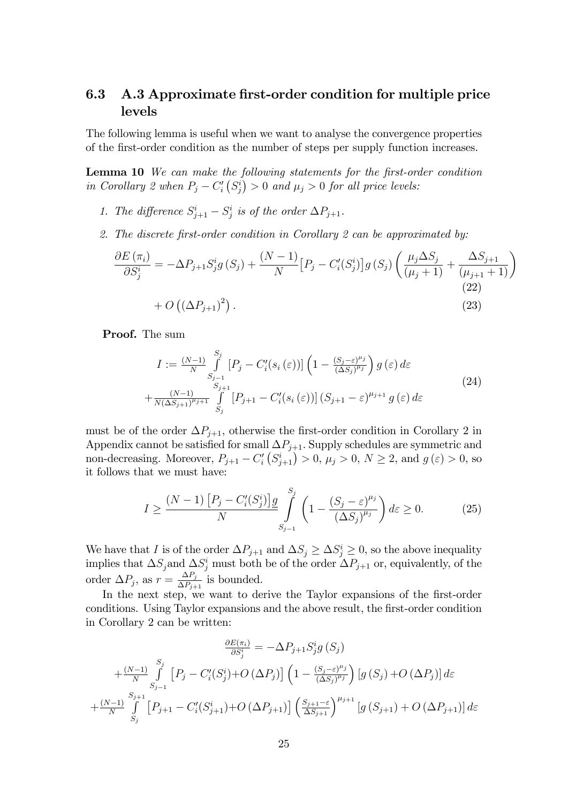### 6.3 A.3 Approximate Örst-order condition for multiple price levels

The following lemma is useful when we want to analyse the convergence properties of the Örst-order condition as the number of steps per supply function increases.

**Lemma 10** We can make the following statements for the first-order condition in Corollary 2 when  $P_j - C'_i(S_j^i) > 0$  and  $\mu_j > 0$  for all price levels:

- 1. The difference  $S_{j+1}^i S_j^i$  is of the order  $\Delta P_{j+1}$ .
- 2. The discrete first-order condition in Corollary 2 can be approximated by:

$$
\frac{\partial E(\pi_i)}{\partial S_j^i} = -\Delta P_{j+1} S_j^i g(S_j) + \frac{(N-1)}{N} \Big[ P_j - C_i'(S_j^i) \Big] g(S_j) \left( \frac{\mu_j \Delta S_j}{(\mu_j + 1)} + \frac{\Delta S_{j+1}}{(\mu_{j+1} + 1)} \right) + O\left( (\Delta P_{j+1})^2 \right).
$$
\n(23)

Proof. The sum

$$
I := \frac{(N-1)}{N} \int_{S_{j-1}}^{S_j} \left[ P_j - C_i'(s_i(\varepsilon)) \right] \left( 1 - \frac{(S_j - \varepsilon)^{\mu_j}}{(\Delta S_j)^{\mu_j}} \right) g(\varepsilon) d\varepsilon
$$
  
+ 
$$
\frac{(N-1)}{N(\Delta S_{j+1})^{\mu_{j+1}}} \int_{S_j}^{S_{j+1}} \left[ P_{j+1} - C_i'(s_i(\varepsilon)) \right] (S_{j+1} - \varepsilon)^{\mu_{j+1}} g(\varepsilon) d\varepsilon
$$
(24)

must be of the order  $\Delta P_{j+1}$ , otherwise the first-order condition in Corollary 2 in Appendix cannot be satisfied for small  $\Delta P_{j+1}$ . Supply schedules are symmetric and non-decreasing. Moreover,  $P_{j+1} - C'_i(S_{j+1}^i) > 0$ ,  $\mu_j > 0$ ,  $N \ge 2$ , and  $g(\varepsilon) > 0$ , so it follows that we must have:

$$
I \geq \frac{(N-1)\left[P_j - C_i'(S_j^i)\right]g}{N} \int\limits_{S_{j-1}}^{S_j} \left(1 - \frac{(S_j - \varepsilon)^{\mu_j}}{(\Delta S_j)^{\mu_j}}\right) d\varepsilon \geq 0. \tag{25}
$$

We have that I is of the order  $\Delta P_{j+1}$  and  $\Delta S_j \ge \Delta S_j^i \ge 0$ , so the above inequality implies that  $\Delta S_j$  and  $\Delta S_j^i$  must both be of the order  $\Delta P_{j+1}$  or, equivalently, of the order  $\Delta P_j$ , as  $r = \frac{\Delta P_j}{\Delta P_{j+1}}$  $\frac{\Delta P_j}{\Delta P_{j+1}}$  is bounded.

In the next step, we want to derive the Taylor expansions of the first-order conditions. Using Taylor expansions and the above result, the first-order condition in Corollary 2 can be written:

$$
\frac{\partial E(\pi_i)}{\partial S_j^i} = -\Delta P_{j+1} S_j^i g(S_j)
$$
  
+ $\frac{(N-1)}{N} \int_{S_{j-1}}^{S_j} \left[ P_j - C_i'(S_j^i) + O(\Delta P_j) \right] \left( 1 - \frac{(S_j - \varepsilon)^{\mu_j}}{(\Delta S_j)^{\mu_j}} \right) \left[ g(S_j) + O(\Delta P_j) \right] d\varepsilon$   
+ $\frac{(N-1)}{N} \int_{S_j}^{S_{j+1}} \left[ P_{j+1} - C_i'(S_{j+1}^i) + O(\Delta P_{j+1}) \right] \left( \frac{S_{j+1} - \varepsilon}{\Delta S_{j+1}} \right)^{\mu_{j+1}} \left[ g(S_{j+1}) + O(\Delta P_{j+1}) \right] d\varepsilon$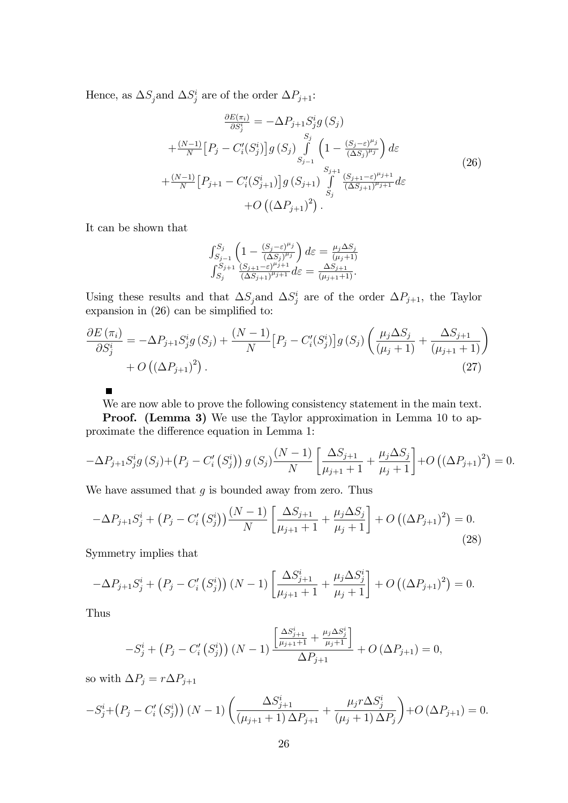Hence, as  $\Delta S_j$  and  $\Delta S_j^i$  are of the order  $\Delta P_{j+1}$ :

$$
\frac{\partial E(\pi_i)}{\partial S_j^i} = -\Delta P_{j+1} S_j^i g(S_j)
$$
\n
$$
+ \frac{(N-1)}{N} \Big[ P_j - C_i'(S_j^i) \Big] g(S_j) \int_{S_{j-1}}^{S_j} \left( 1 - \frac{(S_j - \varepsilon)^{\mu_j}}{(\Delta S_j)^{\mu_j}} \right) d\varepsilon
$$
\n
$$
+ \frac{(N-1)}{N} \Big[ P_{j+1} - C_i'(S_{j+1}^i) \Big] g(S_{j+1}) \int_{S_j}^{S_{j+1}} \frac{(S_{j+1} - \varepsilon)^{\mu_{j+1}}}{(\Delta S_{j+1})^{\mu_{j+1}}} d\varepsilon
$$
\n
$$
+ O\left( (\Delta P_{j+1})^2 \right).
$$
\n(26)

It can be shown that

$$
\begin{array}{l} \int_{S_{j-1}}^{S_j} \left(1 - \frac{(S_j - \varepsilon)^{\mu_j}}{(\Delta S_j)^{\mu_j}}\right) d\varepsilon = \frac{\mu_j \Delta S_j}{(\mu_j + 1)}\\ \int_{S_j}^{S_{j+1}} \frac{(S_{j+1} - \varepsilon)^{\mu_{j+1}}}{(\Delta S_{j+1})^{\mu_{j+1}}} d\varepsilon = \frac{\Delta S_{j+1}}{(\mu_{j+1} + 1)}. \end{array}
$$

Using these results and that  $\Delta S_j$  and  $\Delta S_j^i$  are of the order  $\Delta P_{j+1}$ , the Taylor expansion in  $(26)$  can be simplified to:

$$
\frac{\partial E(\pi_i)}{\partial S_j^i} = -\Delta P_{j+1} S_j^i g(S_j) + \frac{(N-1)}{N} \Big[ P_j - C_i'(S_j^i) \Big] g(S_j) \left( \frac{\mu_j \Delta S_j}{(\mu_j + 1)} + \frac{\Delta S_{j+1}}{(\mu_{j+1} + 1)} \right) + O\left( (\Delta P_{j+1})^2 \right).
$$
\n(27)

We are now able to prove the following consistency statement in the main text.

Proof. (Lemma 3) We use the Taylor approximation in Lemma 10 to approximate the difference equation in Lemma 1:

$$
-\Delta P_{j+1} S_j^i g(S_j) + (P_j - C'_i (S_j^i)) g(S_j) \frac{(N-1)}{N} \left[ \frac{\Delta S_{j+1}}{\mu_{j+1} + 1} + \frac{\mu_j \Delta S_j}{\mu_j + 1} \right] + O\left( (\Delta P_{j+1})^2 \right) = 0.
$$

We have assumed that  $g$  is bounded away from zero. Thus

$$
-\Delta P_{j+1}S_j^i + (P_j - C_i'(S_j^i))\frac{(N-1)}{N} \left[\frac{\Delta S_{j+1}}{\mu_{j+1}+1} + \frac{\mu_j \Delta S_j}{\mu_j+1}\right] + O\left((\Delta P_{j+1})^2\right) = 0.
$$
\n(28)

Symmetry implies that

$$
-\Delta P_{j+1}S_j^i + (P_j - C'_i(S_j^i))(N-1)\left[\frac{\Delta S_{j+1}^i}{\mu_{j+1}+1} + \frac{\mu_j \Delta S_j^i}{\mu_j+1}\right] + O\left((\Delta P_{j+1})^2\right) = 0.
$$

Thus

$$
-S_j^i + (P_j - C_i'(S_j^i))(N-1)\frac{\left[\frac{\Delta S_{j+1}^i}{\mu_{j+1}+1} + \frac{\mu_j \Delta S_j^i}{\mu_{j+1}}\right]}{\Delta P_{j+1}} + O\left(\Delta P_{j+1}\right) = 0,
$$

so with  $\Delta P_j = r \Delta P_{j+1}$ 

$$
-S_j^i + (P_j - C'_i(S_j^i)) (N-1) \left( \frac{\Delta S_{j+1}^i}{(\mu_{j+1} + 1) \Delta P_{j+1}} + \frac{\mu_j r \Delta S_j^i}{(\mu_j + 1) \Delta P_j} \right) + O(\Delta P_{j+1}) = 0.
$$